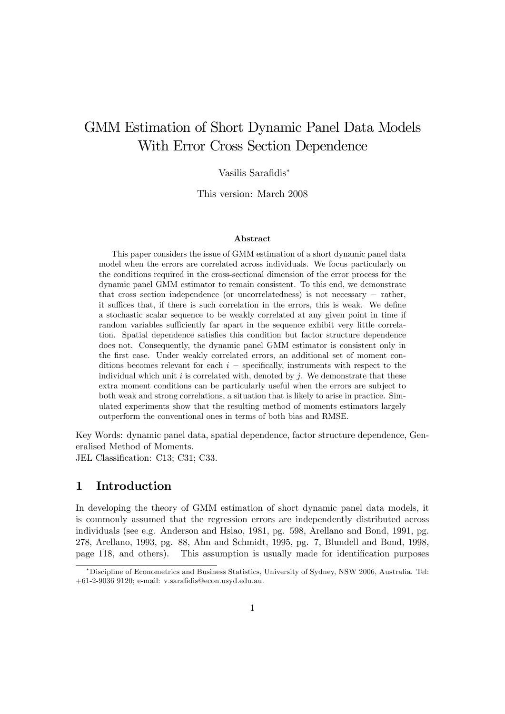# GMM Estimation of Short Dynamic Panel Data Models With Error Cross Section Dependence

#### Vasilis Sarafidis<sup>\*</sup>

This version: March 2008

#### Abstract

This paper considers the issue of GMM estimation of a short dynamic panel data model when the errors are correlated across individuals. We focus particularly on the conditions required in the cross-sectional dimension of the error process for the dynamic panel GMM estimator to remain consistent. To this end, we demonstrate that cross section independence (or uncorrelatedness) is not necessary  $-$  rather, it suffices that, if there is such correlation in the errors, this is weak. We define a stochastic scalar sequence to be weakly correlated at any given point in time if random variables sufficiently far apart in the sequence exhibit very little correlation. Spatial dependence satisfies this condition but factor structure dependence does not. Consequently, the dynamic panel GMM estimator is consistent only in the first case. Under weakly correlated errors, an additional set of moment conditions becomes relevant for each  $i$  - specifically, instruments with respect to the individual which unit i is correlated with, denoted by  $j$ . We demonstrate that these extra moment conditions can be particularly useful when the errors are subject to both weak and strong correlations, a situation that is likely to arise in practice. Simulated experiments show that the resulting method of moments estimators largely outperform the conventional ones in terms of both bias and RMSE.

Key Words: dynamic panel data, spatial dependence, factor structure dependence, Generalised Method of Moments.

JEL Classification: C13; C31; C33.

## 1 Introduction

In developing the theory of GMM estimation of short dynamic panel data models, it is commonly assumed that the regression errors are independently distributed across individuals (see e.g. Anderson and Hsiao, 1981, pg. 598, Arellano and Bond, 1991, pg. 278, Arellano, 1993, pg. 88, Ahn and Schmidt, 1995, pg. 7, Blundell and Bond, 1998, page 118, and others). This assumption is usually made for identification purposes

Discipline of Econometrics and Business Statistics, University of Sydney, NSW 2006, Australia. Tel:  $+61-2-9036$  9120; e-mail: v.sarafidis@econ.usyd.edu.au.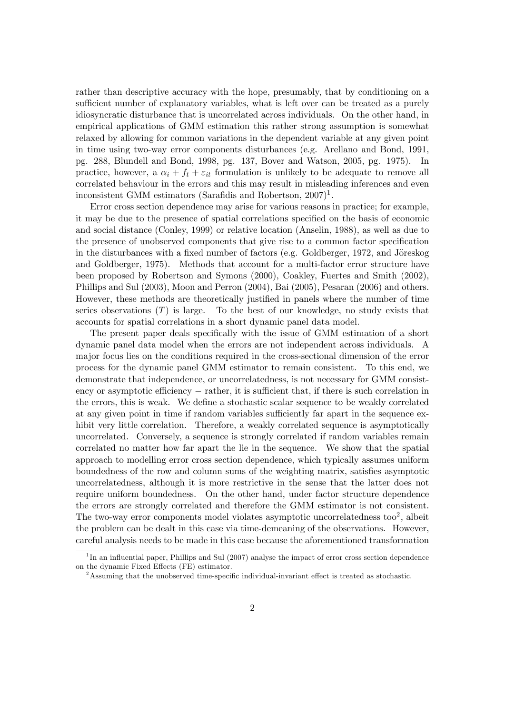rather than descriptive accuracy with the hope, presumably, that by conditioning on a sufficient number of explanatory variables, what is left over can be treated as a purely idiosyncratic disturbance that is uncorrelated across individuals. On the other hand, in empirical applications of GMM estimation this rather strong assumption is somewhat relaxed by allowing for common variations in the dependent variable at any given point in time using two-way error components disturbances (e.g. Arellano and Bond, 1991, pg. 288, Blundell and Bond, 1998, pg. 137, Bover and Watson, 2005, pg. 1975). In practice, however, a  $\alpha_i + f_t + \varepsilon_{it}$  formulation is unlikely to be adequate to remove all correlated behaviour in the errors and this may result in misleading inferences and even inconsistent GMM estimators (Sarafidis and Robertson,  $2007$ )<sup>1</sup>.

Error cross section dependence may arise for various reasons in practice; for example, it may be due to the presence of spatial correlations specified on the basis of economic and social distance (Conley, 1999) or relative location (Anselin, 1988), as well as due to the presence of unobserved components that give rise to a common factor specification in the disturbances with a fixed number of factors (e.g. Goldberger, 1972, and Jöreskog and Goldberger, 1975). Methods that account for a multi-factor error structure have been proposed by Robertson and Symons (2000), Coakley, Fuertes and Smith (2002), Phillips and Sul (2003), Moon and Perron (2004), Bai (2005), Pesaran (2006) and others. However, these methods are theoretically justified in panels where the number of time series observations  $(T)$  is large. To the best of our knowledge, no study exists that accounts for spatial correlations in a short dynamic panel data model.

The present paper deals specifically with the issue of GMM estimation of a short dynamic panel data model when the errors are not independent across individuals. A major focus lies on the conditions required in the cross-sectional dimension of the error process for the dynamic panel GMM estimator to remain consistent. To this end, we demonstrate that independence, or uncorrelatedness, is not necessary for GMM consistency or asymptotic efficiency  $-$  rather, it is sufficient that, if there is such correlation in the errors, this is weak. We define a stochastic scalar sequence to be weakly correlated at any given point in time if random variables sufficiently far apart in the sequence exhibit very little correlation. Therefore, a weakly correlated sequence is asymptotically uncorrelated. Conversely, a sequence is strongly correlated if random variables remain correlated no matter how far apart the lie in the sequence. We show that the spatial approach to modelling error cross section dependence, which typically assumes uniform boundedness of the row and column sums of the weighting matrix, satisfies asymptotic uncorrelatedness, although it is more restrictive in the sense that the latter does not require uniform boundedness. On the other hand, under factor structure dependence the errors are strongly correlated and therefore the GMM estimator is not consistent. The two-way error components model violates asymptotic uncorrelatedness too<sup>2</sup>, albeit the problem can be dealt in this case via time-demeaning of the observations. However, careful analysis needs to be made in this case because the aforementioned transformation

<sup>&</sup>lt;sup>1</sup>In an influential paper, Phillips and Sul (2007) analyse the impact of error cross section dependence on the dynamic Fixed Effects (FE) estimator.

<sup>&</sup>lt;sup>2</sup>Assuming that the unobserved time-specific individual-invariant effect is treated as stochastic.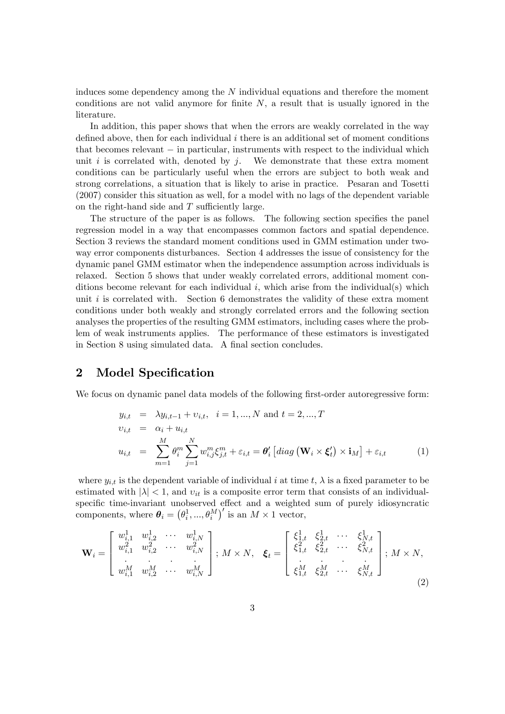induces some dependency among the  $N$  individual equations and therefore the moment conditions are not valid anymore for finite  $N$ , a result that is usually ignored in the literature.

In addition, this paper shows that when the errors are weakly correlated in the way defined above, then for each individual  $i$  there is an additional set of moment conditions that becomes relevant  $-$  in particular, instruments with respect to the individual which unit  $i$  is correlated with, denoted by  $j$ . We demonstrate that these extra moment conditions can be particularly useful when the errors are subject to both weak and strong correlations, a situation that is likely to arise in practice. Pesaran and Tosetti (2007) consider this situation as well, for a model with no lags of the dependent variable on the right-hand side and  $T$  sufficiently large.

The structure of the paper is as follows. The following section specifies the panel regression model in a way that encompasses common factors and spatial dependence. Section 3 reviews the standard moment conditions used in GMM estimation under twoway error components disturbances. Section 4 addresses the issue of consistency for the dynamic panel GMM estimator when the independence assumption across individuals is relaxed. Section 5 shows that under weakly correlated errors, additional moment conditions become relevant for each individual i, which arise from the individual(s) which unit  $i$  is correlated with. Section 6 demonstrates the validity of these extra moment conditions under both weakly and strongly correlated errors and the following section analyses the properties of the resulting GMM estimators, including cases where the problem of weak instruments applies. The performance of these estimators is investigated in Section 8 using simulated data. A final section concludes.

## 2 Model Specification

We focus on dynamic panel data models of the following first-order autoregressive form:

$$
y_{i,t} = \lambda y_{i,t-1} + \nu_{i,t}, \quad i = 1, ..., N \text{ and } t = 2, ..., T
$$
  

$$
\nu_{i,t} = \alpha_i + u_{i,t}
$$
  

$$
u_{i,t} = \sum_{m=1}^{M} \theta_i^m \sum_{j=1}^{N} w_{i,j}^m \xi_{j,t}^m + \varepsilon_{i,t} = \theta_i' \left[ diag\left(\mathbf{W}_i \times \boldsymbol{\xi}_t'\right) \times \mathbf{i}_M \right] + \varepsilon_{i,t}
$$
 (1)

where  $y_{i,t}$  is the dependent variable of individual i at time t,  $\lambda$  is a fixed parameter to be estimated with  $|\lambda| < 1$ , and  $v_{it}$  is a composite error term that consists of an individualspecific time-invariant unobserved effect and a weighted sum of purely idiosyncratic components, where  $\boldsymbol{\theta}_i = (\theta_i^1, ..., \theta_i^M)'$  is an  $M \times 1$  vector,

$$
\mathbf{W}_{i} = \begin{bmatrix} w_{i,1}^{1} & w_{i,2}^{1} & \cdots & w_{i,N}^{1} \\ w_{i,1}^{2} & w_{i,2}^{2} & \cdots & w_{i,N}^{2} \\ \vdots & \vdots & \ddots & \vdots \\ w_{i,1}^{M} & w_{i,2}^{M} & \cdots & w_{i,N}^{M} \end{bmatrix}; M \times N, \quad \boldsymbol{\xi}_{t} = \begin{bmatrix} \xi_{1,t}^{1} & \xi_{2,t}^{1} & \cdots & \xi_{N,t}^{1} \\ \xi_{1,t}^{2} & \xi_{2,t}^{2} & \cdots & \xi_{N,t}^{2} \\ \vdots & \vdots & \ddots & \vdots \\ \xi_{1,t}^{M} & \xi_{2,t}^{M} & \cdots & \xi_{N,t}^{M} \end{bmatrix}; M \times N,
$$
\n(2)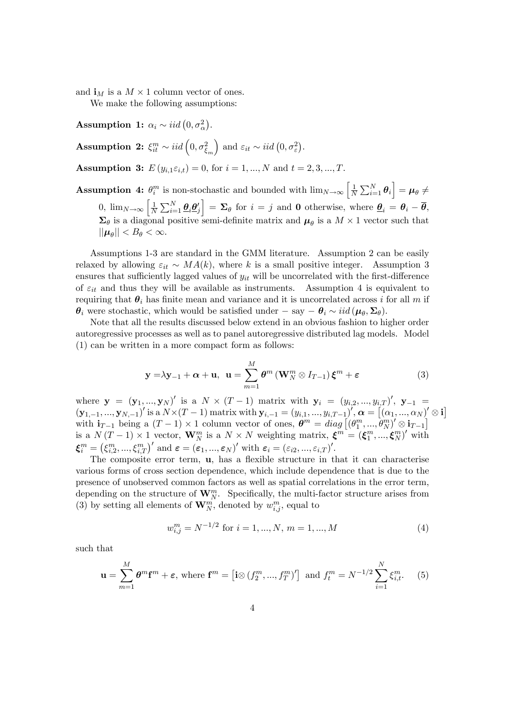and  $\mathbf{i}_M$  is a  $M \times 1$  column vector of ones.

We make the following assumptions:

Assumption 1:  $\alpha_i \sim iid\left(0, \sigma_{\alpha}^2\right)$ .

Assumption 2:  $\xi_{it}^m \sim iid\left(0,\sigma_{\xi_m}^2\right)$ ) and  $\varepsilon_{it} \sim iid\left(0, \sigma_{\varepsilon}^2\right)$ .

**Assumption 3:**  $E(y_{i,1} \varepsilon_{i,t}) = 0$ , for  $i = 1, ..., N$  and  $t = 2, 3, ..., T$ .

**Assumption 4:**  $\theta_i^m$  is non-stochastic and bounded with  $\lim_{N\to\infty} \left[\frac{1}{N}\right]$  $\frac{1}{N}\sum_{i=1}^N \boldsymbol{\theta}_i \Big] = \boldsymbol{\mu}_{\boldsymbol{\theta}} \neq$ 0,  $\lim_{N \to \infty} \left[ \frac{1}{N} \right]$  $\frac{1}{N}\sum_{i=1}^N \underline{\boldsymbol{\theta}}_i \underline{\boldsymbol{\theta}}_j'$  $\mathbf{E} = \mathbf{\Sigma}_{\theta}$  for  $i = j$  and **0** otherwise, where  $\underline{\theta}_i = \theta_i - \overline{\theta}$ ,  $\Sigma_{\theta}$  is a diagonal positive semi-definite matrix and  $\mu_{\theta}$  is a  $M \times 1$  vector such that  $||\mu_{\theta}|| < B_{\theta} < \infty.$ 

Assumptions 1-3 are standard in the GMM literature. Assumption 2 can be easily relaxed by allowing  $\varepsilon_{it} \sim MA(k)$ , where k is a small positive integer. Assumption 3 ensures that sufficiently lagged values of  $y_{it}$  will be uncorrelated with the first-difference of  $\varepsilon_{it}$  and thus they will be available as instruments. Assumption 4 is equivalent to requiring that  $\theta_i$  has finite mean and variance and it is uncorrelated across i for all m if  $\theta_i$  were stochastic, which would be satisfied under  $-\text{ say } -\theta_i \sim \text{iid}(\mu_\theta, \Sigma_\theta).$ 

Note that all the results discussed below extend in an obvious fashion to higher order autoregressive processes as well as to panel autoregressive distributed lag models. Model (1) can be written in a more compact form as follows:

$$
\mathbf{y} = \lambda \mathbf{y}_{-1} + \boldsymbol{\alpha} + \mathbf{u}, \ \ \mathbf{u} = \sum_{m=1}^{M} \boldsymbol{\theta}^m \left( \mathbf{W}_N^m \otimes I_{T-1} \right) \boldsymbol{\xi}^m + \boldsymbol{\varepsilon} \tag{3}
$$

where  $y = (y_1, ..., y_N)'$  is a  $N \times (T-1)$  matrix with  $y_i = (y_{i,2}, ..., y_{i,T})'$ ,  $y_{-1} =$  $(\mathbf{y}_{1,-1},...,\mathbf{y}_{N,-1})'$  is a  $N\times(T-1)$  matrix with  $\mathbf{y}_{i,-1}=(y_{i,1},...,y_{i,T-1})',\boldsymbol{\alpha}=\left[\left(\alpha_1,...,\alpha_N\right)'\otimes\mathbf{i}\right]$ with  $\mathbf{i}_{T-1}$  being a  $(T-1) \times 1$  column vector of ones,  $\boldsymbol{\theta}^m = diag\left[ (\theta_1^m, ..., \theta_N^m)' \otimes \mathbf{i}_{T-1} \right]$ is a  $N(T-1) \times 1$  vector,  $\mathbf{W}_{N}^{m}$  is a  $N \times N$  weighting matrix,  $\boldsymbol{\xi}^{m} = (\boldsymbol{\xi}_{1}^{m}, ..., \boldsymbol{\xi}_{N}^{m})'$  with  $\boldsymbol{\xi}_i^m = \left(\xi_{i,2}^m,...,\xi_{i,T}^m\right)' \text{ and } \boldsymbol{\varepsilon} = \left(\varepsilon_1,...,\varepsilon_N\right)' \text{ with } \boldsymbol{\varepsilon}_i = (\varepsilon_{i2},...,\varepsilon_{i,T})'.$ 

The composite error term,  $\mathbf{u}$ , has a flexible structure in that it can characterise various forms of cross section dependence, which include dependence that is due to the presence of unobserved common factors as well as spatial correlations in the error term, depending on the structure of  $\mathbf{W}_{N}^{m}$ . Specifically, the multi-factor structure arises from (3) by setting all elements of  $\mathbf{W}_{N}^{m}$ , denoted by  $w_{i,j}^{m}$ , equal to

$$
w_{i,j}^m = N^{-1/2} \text{ for } i = 1, ..., N, m = 1, ..., M
$$
 (4)

such that

$$
\mathbf{u} = \sum_{m=1}^{M} \boldsymbol{\theta}^m \mathbf{f}^m + \boldsymbol{\varepsilon}, \text{ where } \mathbf{f}^m = \left[ \mathbf{i} \otimes (f_2^m, ..., f_T^m)' \right] \text{ and } f_t^m = N^{-1/2} \sum_{i=1}^{N} \xi_{i,t}^m. \tag{5}
$$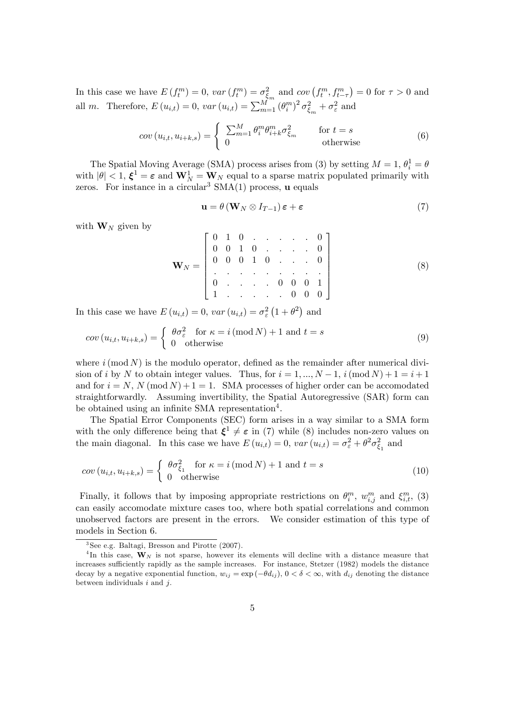In this case we have  $E(f_t^m) = 0$ ,  $var(f_t^m) = \sigma_{\xi_m}^2$  and  $cov(f_t^m, f_{t-\tau}^m) = 0$  for  $\tau > 0$  and all m. Therefore,  $E(u_{i,t}) = 0$ ,  $var(u_{i,t}) = \sum_{m=1}^{M} (\theta_i^m)^2 \sigma_{\xi_m}^2 + \sigma_{\varepsilon}^2$  and

$$
cov(u_{i,t}, u_{i+k,s}) = \begin{cases} \sum_{m=1}^{M} \theta_i^m \theta_{i+k}^m \sigma_{\xi_m}^2 & \text{for } t = s\\ 0 & \text{otherwise} \end{cases}
$$
(6)

The Spatial Moving Average (SMA) process arises from (3) by setting  $M = 1, \theta_i^1 = \theta$ with  $|\theta| < 1$ ,  $\xi^1 = \varepsilon$  and  $\mathbf{W}_N^1 = \mathbf{W}_N$  equal to a sparse matrix populated primarily with zeros. For instance in a circular<sup>3</sup>  $SMA(1)$  process, **u** equals

$$
\mathbf{u} = \theta \left( \mathbf{W}_N \otimes I_{T-1} \right) \boldsymbol{\varepsilon} + \boldsymbol{\varepsilon} \tag{7}
$$

with  $\mathbf{W}_N$  given by

W<sup>N</sup> = 2 6 6 6 6 6 6 4 0 1 0 : : : : : 0 0 0 1 0 : : : : 0 0 0 0 1 0 : : : 0 : : : : : : : : : 0 : : : : 0 0 0 1 1 : : : : : 0 0 0 3 7 7 7 7 7 7 5 (8)

In this case we have  $E(u_{i,t}) = 0$ ,  $var(u_{i,t}) = \sigma_{\varepsilon}^2 (1 + \theta^2)$  and

$$
cov(u_{i,t}, u_{i+k,s}) = \begin{cases} \theta \sigma_{\varepsilon}^2 & \text{for } \kappa = i \, (\text{mod } N) + 1 \text{ and } t = s \\ 0 & \text{otherwise} \end{cases}
$$
 (9)

where  $i \pmod{N}$  is the modulo operator, defined as the remainder after numerical division of i by N to obtain integer values. Thus, for  $i = 1, ..., N - 1$ ,  $i \text{ (mod } N) + 1 = i + 1$ and for  $i = N$ ,  $N \pmod{N} + 1 = 1$ . SMA processes of higher order can be accomodated straightforwardly. Assuming invertibility, the Spatial Autoregressive (SAR) form can be obtained using an infinite SMA representation<sup>4</sup>.

The Spatial Error Components (SEC) form arises in a way similar to a SMA form with the only difference being that  $\xi^1 \neq \varepsilon$  in (7) while (8) includes non-zero values on the main diagonal. In this case we have  $E(u_{i,t}) = 0$ ,  $var(u_{i,t}) = \sigma_{\varepsilon}^2 + \theta^2 \sigma_{\xi_1}^2$  and

$$
cov(u_{i,t}, u_{i+k,s}) = \begin{cases} \theta \sigma_{\xi_1}^2 & \text{for } \kappa = i \, (\text{mod } N) + 1 \text{ and } t = s \\ 0 & \text{otherwise} \end{cases}
$$
 (10)

Finally, it follows that by imposing appropriate restrictions on  $\theta_i^m$ ,  $w_{i,j}^m$  and  $\xi_{i,t}^m$ , (3) can easily accomodate mixture cases too, where both spatial correlations and common unobserved factors are present in the errors. We consider estimation of this type of models in Section 6.

<sup>3</sup> See e.g. Baltagi, Bresson and Pirotte (2007).

<sup>&</sup>lt;sup>4</sup>In this case,  $W_N$  is not sparse, however its elements will decline with a distance measure that increases sufficiently rapidly as the sample increases. For instance, Stetzer (1982) models the distance decay by a negative exponential function,  $w_{ij} = \exp(-\theta d_{ij})$ ,  $0 < \delta < \infty$ , with  $d_{ij}$  denoting the distance between individuals  $i$  and  $j$ .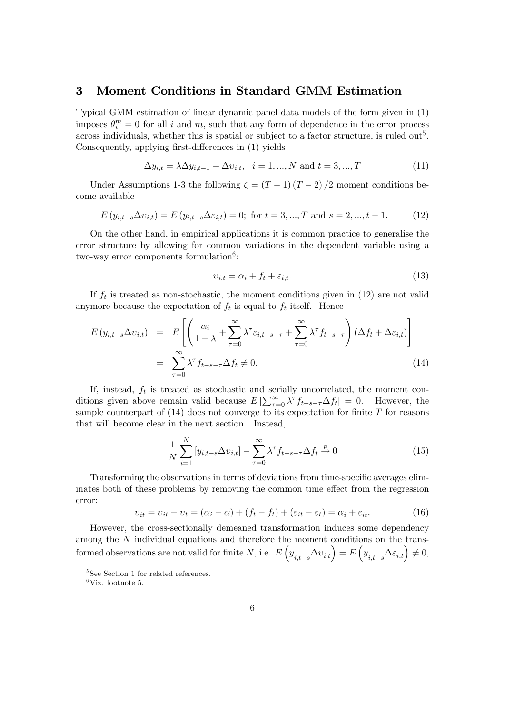### 3 Moment Conditions in Standard GMM Estimation

Typical GMM estimation of linear dynamic panel data models of the form given in (1) imposes  $\theta_i^m = 0$  for all i and m, such that any form of dependence in the error process across individuals, whether this is spatial or subject to a factor structure, is ruled out<sup>5</sup>. Consequently, applying first-differences in (1) yields

$$
\Delta y_{i,t} = \lambda \Delta y_{i,t-1} + \Delta v_{i,t}, \quad i = 1, ..., N \text{ and } t = 3, ..., T
$$
 (11)

Under Assumptions 1-3 the following  $\zeta = (T-1)(T-2)/2$  moment conditions become available

$$
E(y_{i,t-s}\Delta v_{i,t}) = E(y_{i,t-s}\Delta\varepsilon_{i,t}) = 0; \text{ for } t = 3, ..., T \text{ and } s = 2, ..., t-1.
$$
 (12)

On the other hand, in empirical applications it is common practice to generalise the error structure by allowing for common variations in the dependent variable using a two-way error components formulation<sup>6</sup>:

$$
v_{i,t} = \alpha_i + f_t + \varepsilon_{i,t}.\tag{13}
$$

If  $f_t$  is treated as non-stochastic, the moment conditions given in  $(12)$  are not valid anymore because the expectation of  $f_t$  is equal to  $f_t$  itself. Hence

$$
E(y_{i,t-s}\Delta v_{i,t}) = E\left[\left(\frac{\alpha_i}{1-\lambda} + \sum_{\tau=0}^{\infty} \lambda^{\tau} \varepsilon_{i,t-s-\tau} + \sum_{\tau=0}^{\infty} \lambda^{\tau} f_{t-s-\tau}\right) (\Delta f_t + \Delta \varepsilon_{i,t})\right]
$$
  
= 
$$
\sum_{\tau=0}^{\infty} \lambda^{\tau} f_{t-s-\tau} \Delta f_t \neq 0.
$$
 (14)

If, instead,  $f_t$  is treated as stochastic and serially uncorrelated, the moment conditions given above remain valid because  $E\left[\sum_{\tau=0}^{\infty} \lambda^{\tau} f_{t-s-\tau} \Delta f_t\right] = 0$ . However, the sample counterpart of  $(14)$  does not converge to its expectation for finite T for reasons that will become clear in the next section. Instead,

$$
\frac{1}{N} \sum_{i=1}^{N} \left[ y_{i,t-s} \Delta v_{i,t} \right] - \sum_{\tau=0}^{\infty} \lambda^{\tau} f_{t-s-\tau} \Delta f_t \xrightarrow{p} 0 \tag{15}
$$

Transforming the observations in terms of deviations from time-specific averages eliminates both of these problems by removing the common time effect from the regression error:

$$
\underline{v}_{it} = v_{it} - \overline{v}_t = (\alpha_i - \overline{\alpha}) + (f_t - f_t) + (\varepsilon_{it} - \overline{\varepsilon}_t) = \underline{\alpha}_i + \underline{\varepsilon}_{it}.
$$
\n(16)

However, the cross-sectionally demeaned transformation induces some dependency among the N individual equations and therefore the moment conditions on the transformed observations are not valid for finite N, i.e.  $E\left(\underline{y}_{i,t-s} \Delta \underline{v}_{i,t}\right) = E\left(\underline{y}_{i,t-s} \Delta \underline{\varepsilon}_{i,t}\right) \neq 0$ ,

<sup>5</sup> See Section 1 for related references.

 $6$ Viz. footnote 5.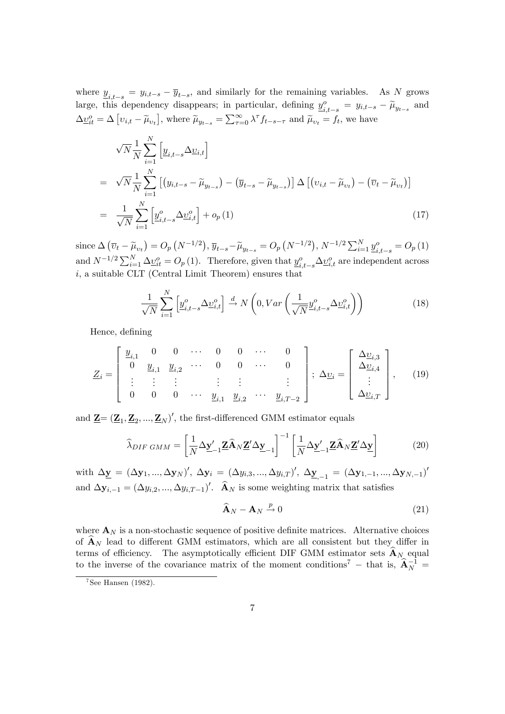where  $\underline{y}_{i,t-s} = y_{i,t-s} - \overline{y}_{t-s}$ , and similarly for the remaining variables. As N grows large, this dependency disappears; in particular, defining  $\underline{y}_{i,t-s}^o = y_{i,t-s} - \widetilde{\mu}_{y_{t-s}}$  and  $\Delta \underline{v}_{it}^o = \Delta [v_{i,t} - \widetilde{\mu}_{v_t}],$  where  $\widetilde{\mu}_{y_{t-s}} = \sum_{\tau=0}^{\infty} \lambda^{\tau} f_{t-s-\tau}$  and  $\widetilde{\mu}_{v_t} = f_t$ , we have

$$
\sqrt{N} \frac{1}{N} \sum_{i=1}^{N} \left[ \underline{y}_{i,t-s} \Delta \underline{v}_{i,t} \right]
$$
\n
$$
= \sqrt{N} \frac{1}{N} \sum_{i=1}^{N} \left[ \left( y_{i,t-s} - \widetilde{\mu}_{y_{t-s}} \right) - \left( \overline{y}_{t-s} - \widetilde{\mu}_{y_{t-s}} \right) \right] \Delta \left[ \left( v_{i,t} - \widetilde{\mu}_{v_t} \right) - \left( \overline{v}_t - \widetilde{\mu}_{v_t} \right) \right]
$$
\n
$$
= \frac{1}{\sqrt{N}} \sum_{i=1}^{N} \left[ \underline{y}_{i,t-s}^o \Delta \underline{v}_{i,t}^o \right] + o_p(1) \tag{17}
$$

since  $\Delta (\overline{v}_t - \widetilde{\mu}_{v_t}) = O_p(N^{-1/2}), \overline{y}_{t-s} - \widetilde{\mu}_{y_{t-s}} = O_p(N^{-1/2}), N^{-1/2} \sum_{i=1}^N \underline{y}_{i,t-s}^o = O_p(1)$ and  $N^{-1/2}\sum_{i=1}^{N}\Delta \underline{v}_{it}^o = O_p(1)$ . Therefore, given that  $\underline{y}_{i,t-s}^o \Delta \underline{v}_{i,t}^o$  are independent across  $i$ , a suitable CLT (Central Limit Theorem) ensures that

$$
\frac{1}{\sqrt{N}} \sum_{i=1}^{N} \left[ \underline{y}_{i,t-s}^{o} \Delta \underline{v}_{i,t}^{o} \right] \stackrel{d}{\rightarrow} N \left( 0, Var \left( \frac{1}{\sqrt{N}} \underline{y}_{i,t-s}^{o} \Delta \underline{v}_{i,t}^{o} \right) \right)
$$
(18)

Hence, defining

$$
\underline{Z}_{i} = \begin{bmatrix} \underline{y}_{i,1} & 0 & 0 & \cdots & 0 & 0 & \cdots & 0 \\ 0 & \underline{y}_{i,1} & \underline{y}_{i,2} & \cdots & 0 & 0 & \cdots & 0 \\ \vdots & \vdots & \vdots & & \vdots & \vdots & & \vdots \\ 0 & 0 & 0 & \cdots & \underline{y}_{i,1} & \underline{y}_{i,2} & \cdots & \underline{y}_{i,T-2} \end{bmatrix}; \Delta \underline{v}_{i} = \begin{bmatrix} \Delta \underline{v}_{i,3} \\ \Delta \underline{v}_{i,4} \\ \vdots \\ \Delta \underline{v}_{i,T} \end{bmatrix}, \quad (19)
$$

and  $\underline{\mathbf{Z}} = (\underline{\mathbf{Z}}_1, \underline{\mathbf{Z}}_2, ..., \underline{\mathbf{Z}}_N)'$ , the first-differenced GMM estimator equals

$$
\widehat{\lambda}_{DIF\ GMM} = \left[\frac{1}{N} \Delta \underline{\mathbf{y}}_{-1}^{\prime} \underline{\mathbf{Z}} \widehat{\mathbf{A}}_N \underline{\mathbf{Z}}^{\prime} \Delta \underline{\mathbf{y}}_{-1}\right]^{-1} \left[\frac{1}{N} \Delta \underline{\mathbf{y}}_{-1}^{\prime} \underline{\mathbf{Z}} \widehat{\mathbf{A}}_N \underline{\mathbf{Z}}^{\prime} \Delta \underline{\mathbf{y}}\right]
$$
(20)

with  $\Delta_{\underline{\mathbf{y}}} = (\Delta_{\mathbf{y}_1}, ..., \Delta_{\mathbf{y}_N})'$ ,  $\Delta_{\mathbf{y}_i} = (\Delta_{y_{i,3}}, ..., \Delta_{y_{i,T}})'$ ,  $\Delta_{\underline{\mathbf{y}}_{i-1}} = (\Delta_{\mathbf{y}_{1,-1}}, ..., \Delta_{\mathbf{y}_{N,-1}})'$ and  $\Delta y_{i,-1} = (\Delta y_{i,2}, ..., \Delta y_{i,T-1})'$ .  $\hat{A}_N$  is some weighting matrix that satisfies

$$
\widehat{\mathbf{A}}_N - \mathbf{A}_N \stackrel{p}{\rightarrow} 0 \tag{21}
$$

where  $\mathbf{A}_N$  is a non-stochastic sequence of positive definite matrices. Alternative choices of  $\mathbf{A}_N$  lead to different GMM estimators, which are all consistent but they differ in terms of efficiency. The asymptotically efficient DIF GMM estimator sets  $\mathbf{A}_N$  equal to the inverse of the covariance matrix of the moment conditions<sup>7</sup> – that is,  $\hat{\mathbf{A}}_N^{-1}$ 

 $7$ See Hansen (1982).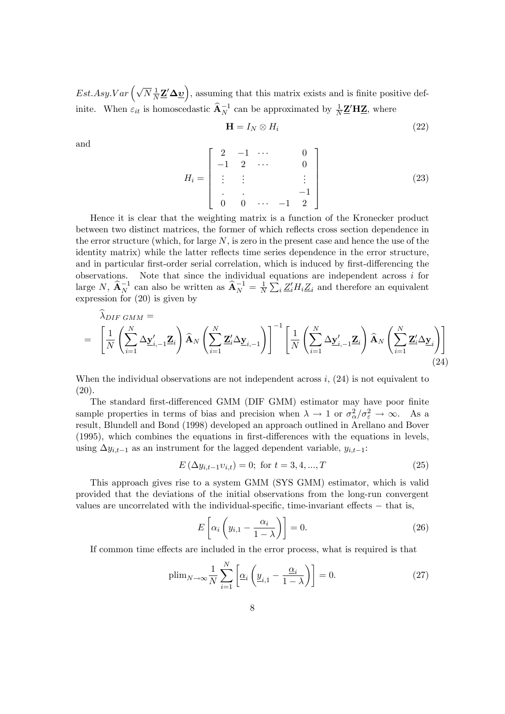$Est. Asy. Var\left(\sqrt{N} \frac{1}{N} \underline{\mathbf{Z}}' \Delta \underline{\mathbf{v}}\right)$ , assuming that this matrix exists and is finite positive definite. When  $\varepsilon_{it}$  is homoscedastic  $\widehat{\mathbf{A}}_N^{-1}$  can be approximated by  $\frac{1}{N}\mathbf{Z}'\mathbf{H}\mathbf{Z}$ , where

$$
\mathbf{H} = I_N \otimes H_i \tag{22}
$$

and

$$
H_i = \begin{bmatrix} 2 & -1 & \cdots & & 0 \\ -1 & 2 & \cdots & & 0 \\ \vdots & \vdots & & & \vdots \\ 0 & 0 & \cdots & -1 & 2 \end{bmatrix}
$$
 (23)

Hence it is clear that the weighting matrix is a function of the Kronecker product between two distinct matrices, the former of which reflects cross section dependence in the error structure (which, for large  $N$ , is zero in the present case and hence the use of the identity matrix) while the latter reflects time series dependence in the error structure, and in particular first-order serial correlation, which is induced by first-differencing the Note that since the individual equations are independent across  $i$  for observations. large N,  $\widehat{\mathbf{A}}_N^{-1}$  can also be written as  $\widehat{\mathbf{A}}_N^{-1} = \frac{1}{N} \sum_i Z_i H_i Z_i$  and therefore an equivalent expression for  $(20)$  is given by

$$
\widehat{\lambda}_{DIF\ GMM} = \left[ \frac{1}{N} \left( \sum_{i=1}^{N} \Delta \underline{\mathbf{y}}'_{i,-1} \mathbf{Z}_i \right) \widehat{\mathbf{A}}_N \left( \sum_{i=1}^{N} \mathbf{Z}'_i \Delta \underline{\mathbf{y}}_{i,-1} \right) \right]^{-1} \left[ \frac{1}{N} \left( \sum_{i=1}^{N} \Delta \underline{\mathbf{y}}'_{i,-1} \mathbf{Z}_i \right) \widehat{\mathbf{A}}_N \left( \sum_{i=1}^{N} \mathbf{Z}'_i \Delta \underline{\mathbf{y}}_i \right) \right]
$$
\n(24)

When the individual observations are not independent across  $i$ , (24) is not equivalent to  $(20).$ 

The standard first-differenced GMM (DIF GMM) estimator may have poor finite sample properties in terms of bias and precision when  $\lambda \to 1$  or  $\sigma_{\alpha}^2/\sigma_{\epsilon}^2 \to \infty$ . As a result, Blundell and Bond (1998) developed an approach outlined in Arellano and Bover (1995), which combines the equations in first-differences with the equations in levels, using  $\Delta y_{i,t-1}$  as an instrument for the lagged dependent variable,  $y_{i,t-1}$ :

$$
E\left(\Delta y_{i,t-1}v_{i,t}\right) = 0; \text{ for } t = 3, 4, ..., T
$$
\n(25)

This approach gives rise to a system GMM (SYS GMM) estimator, which is valid provided that the deviations of the initial observations from the long-run convergent values are uncorrelated with the individual-specific, time-invariant effects  $-$  that is,

$$
E\left[\alpha_i\left(y_{i,1}-\frac{\alpha_i}{1-\lambda}\right)\right]=0.\tag{26}
$$

If common time effects are included in the error process, what is required is that

$$
\text{plim}_{N \to \infty} \frac{1}{N} \sum_{i=1}^{N} \left[ \underline{\alpha}_i \left( \underline{y}_{i,1} - \frac{\underline{\alpha}_i}{1 - \lambda} \right) \right] = 0. \tag{27}
$$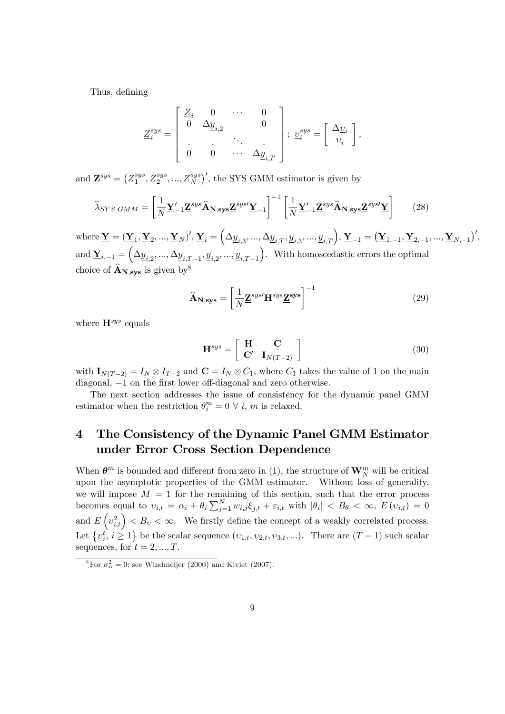Thus, defining

$$
\underline{Z}_{i}^{sys} = \begin{bmatrix} \underline{Z}_{i} & 0 & \cdots & 0 \\ 0 & \Delta \underline{y}_{i,2} & & 0 \\ \cdot & \cdot & \cdot & \cdot \\ 0 & 0 & \cdots & \Delta \underline{y}_{i,T} \end{bmatrix}; \ \underline{v}_{i}^{sys} = \begin{bmatrix} \Delta \underline{v}_{i} \\ \underline{v}_{i} \end{bmatrix},
$$

and  $\underline{\mathbf{Z}}^{sys} = (\underline{Z}_1^{sys})$  $i_1^{sys}, \underline{Z}_2^{sys}, ..., \underline{Z}_N^{sys}$ , the SYS GMM estimator is given by

$$
\widehat{\lambda}_{SYS\ GMM} = \left[\frac{1}{N} \underline{\mathbf{Y}}_{-1}^{\prime} \underline{\mathbf{Z}}^{sys} \widehat{\mathbf{A}}_{\mathbf{N},\mathbf{sys}} \underline{\mathbf{Z}}^{sys} \underline{\mathbf{Y}}_{-1}\right]^{-1} \left[\frac{1}{N} \underline{\mathbf{Y}}_{-1}^{\prime} \underline{\mathbf{Z}}^{sys} \widehat{\mathbf{A}}_{\mathbf{N},\mathbf{sys}} \underline{\mathbf{Z}}^{sys} \underline{\mathbf{Y}}\right] \tag{28}
$$

where  $\underline{\mathbf{Y}} = (\underline{\mathbf{Y}}_1, \underline{\mathbf{Y}}_2, ..., \underline{\mathbf{Y}}_N)', \underline{\mathbf{Y}}_i = \left(\Delta_{\underline{y}_{i,3}}, ..., \Delta_{\underline{y}_{i,T}}, \underline{y}_{i,3}, ..., \underline{y}_{i,T}\right), \underline{\mathbf{Y}}_{-1} = \left(\underline{\mathbf{Y}}_{1,-1}, \underline{\mathbf{Y}}_{2,-1}, ..., \underline{\mathbf{Y}}_{N,-1}\right)',$ and  $\underline{\mathbf{Y}}_{i,-1} = \left(\Delta \underline{y}_{i,2},...,\Delta \underline{y}_{i,T-1},\underline{y}_{i,2},...,\underline{y}_{i,T-1}\right)$ . With homoscedastic errors the optimal choice of  $\widehat{\mathbf{A}}_{N,sys}$  is given by<sup>8</sup>

$$
\widehat{\mathbf{A}}_{\mathbf{N},\mathbf{sys}} = \left[ \frac{1}{N} \mathbf{Z}^{sys \prime} \mathbf{H}^{sys} \mathbf{Z}^{sys} \right]^{-1} \tag{29}
$$

where  $\mathbf{H}^{sys}$  equals

$$
\mathbf{H}^{sys} = \left[ \begin{array}{cc} \mathbf{H} & \mathbf{C} \\ \mathbf{C'} & \mathbf{I}_{N(T-2)} \end{array} \right] \tag{30}
$$

with  $\mathbf{I}_{N(T-2)} = I_N \otimes I_{T-2}$  and  $\mathbf{C} = I_N \otimes C_1$ , where  $C_1$  takes the value of 1 on the main diagonal,  $-1$  on the first lower off-diagonal and zero otherwise.

The next section addresses the issue of consistency for the dynamic panel GMM estimator when the restriction  $\theta_i^m = 0 \ \forall \ i, m$  is relaxed.

## 4 The Consistency of the Dynamic Panel GMM Estimator under Error Cross Section Dependence

When  $\boldsymbol{\theta}^m$  is bounded and different from zero in (1), the structure of  $\mathbf{W}_N^m$  will be critical upon the asymptotic properties of the GMM estimator. Without loss of generality, we will impose  $M = 1$  for the remaining of this section, such that the error process becomes equal to  $v_{i,t} = \alpha_i + \theta_i \sum_{j=1}^N w_{i,j} \xi_{j,t} + \varepsilon_{i,t}$  with  $|\theta_i| < B_\theta < \infty$ ,  $E(v_{i,t}) = 0$ and  $E\left(v_{i,t}^2\right) < B_v < \infty$ . We firstly define the concept of a weakly correlated process. Let  $\{v_i^t, i \geq 1\}$  be the scalar sequence  $(v_{1,t}, v_{2,t}, v_{3,t}, ...)$ . There are  $(T-1)$  such scalar sequences, for  $t = 2, ..., T$ .

<sup>&</sup>lt;sup>8</sup>For  $\sigma_{\alpha}^2 = 0$ ; see Windmeijer (2000) and Kiviet (2007).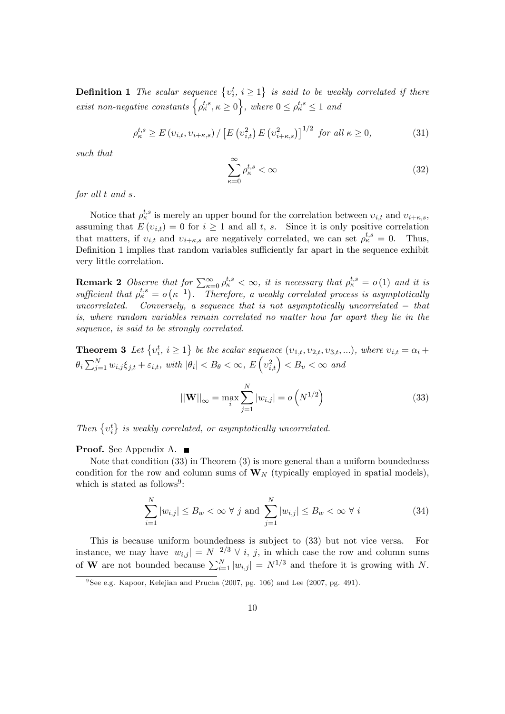**Definition 1** The scalar sequence  $\{v_i^t, i \geq 1\}$  is said to be weakly correlated if there exist non-negative constants  $\left\{\rho_{\kappa}^{t,s}, \kappa \geq 0\right\}$ , where  $0 \leq \rho_{\kappa}^{t,s} \leq 1$  and

$$
\rho_{\kappa}^{t,s} \ge E\left(v_{i,t}, v_{i+\kappa,s}\right) / \left[E\left(v_{i,t}^2\right) E\left(v_{i+\kappa,s}^2\right)\right]^{1/2} \text{ for all } \kappa \ge 0,
$$
\n(31)

such that

$$
\sum_{\kappa=0}^{\infty} \rho_{\kappa}^{t,s} < \infty \tag{32}
$$

for all t and s.

Notice that  $\rho_k^{t,s}$  is merely an upper bound for the correlation between  $v_{i,t}$  and  $v_{i+\kappa,s}$ , assuming that  $E(v_{i,t}) = 0$  for  $i \ge 1$  and all t, s. Since it is only positive correlation that matters, if  $v_{i,t}$  and  $v_{i+\kappa,s}$  are negatively correlated, we can set  $\rho_{\kappa}^{t,s} = 0$ . Thus, Definition 1 implies that random variables sufficiently far apart in the sequence exhibit very little correlation.

**Remark 2** Observe that for  $\sum_{\kappa=0}^{\infty} \rho_{\kappa}^{t,s} < \infty$ , it is necessary that  $\rho_{\kappa}^{t,s} = o(1)$  and it is sufficient that  $\rho_{\kappa}^{t,s} = o\left(\kappa^{-1}\right)$ . Therefore, a weakly correlated process is asymptotically uncorrelated. Conversely, a sequence that is not asymptotically uncorrelated  $-$  that is, where random variables remain correlated no matter how far apart they lie in the sequence, is said to be strongly correlated.

**Theorem 3** Let  $\{v_i^t, i \geq 1\}$  be the scalar sequence  $(v_{1,t}, v_{2,t}, v_{3,t}, ...)$ , where  $v_{i,t} = \alpha_i + \alpha_i$  $\theta_i \sum_{j=1}^N w_{i,j} \xi_{j,t} + \varepsilon_{i,t}$ , with  $|\theta_i| < B_\theta < \infty$ ,  $E\left(v_{i,t}^2\right) < B_\upsilon < \infty$  and

$$
||\mathbf{W}||_{\infty} = \max_{i} \sum_{j=1}^{N} |w_{i,j}| = o\left(N^{1/2}\right)
$$
 (33)

Then  $\{v_i^t\}$  is weakly correlated, or asymptotically uncorrelated.

Proof. See Appendix A. ■

Note that condition (33) in Theorem (3) is more general than a uniform boundedness condition for the row and column sums of  $\mathbf{W}_{N}$  (typically employed in spatial models), which is stated as follows<sup>9</sup>:

$$
\sum_{i=1}^{N} |w_{i,j}| \le B_w < \infty \ \forall \ j \text{ and } \sum_{j=1}^{N} |w_{i,j}| \le B_w < \infty \ \forall \ i \tag{34}
$$

This is because uniform boundedness is subject to (33) but not vice versa. For instance, we may have  $|w_{i,j}| = N^{-2/3} \forall i, j$ , in which case the row and column sums of **W** are not bounded because  $\sum_{i=1}^{N} |w_{i,j}| = N^{1/3}$  and thefore it is growing with N.

<sup>&</sup>lt;sup>9</sup>See e.g. Kapoor, Kelejian and Prucha (2007, pg. 106) and Lee (2007, pg. 491).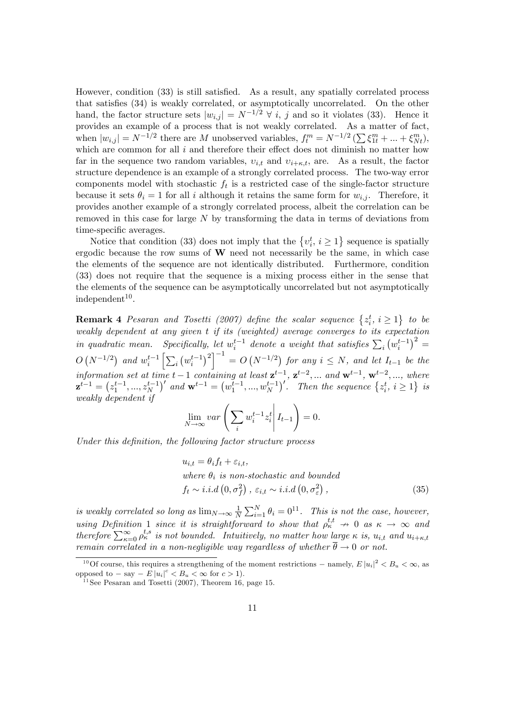However, condition (33) is still satisfied. As a result, any spatially correlated process that satisfies (34) is weakly correlated, or asymptotically uncorrelated. On the other hand, the factor structure sets  $|w_{i,j}| = N^{-1/2} \n\forall i, j$  and so it violates (33). Hence it provides an example of a process that is not weakly correlated. As a matter of fact, when  $|w_{i,j}| = N^{-1/2}$  there are M unobserved variables,  $f_t^m = N^{-1/2} \left( \sum \xi_{1t}^m + \dots + \xi_{Nt}^m \right)$ , which are common for all  $i$  and therefore their effect does not diminish no matter how far in the sequence two random variables,  $v_{i,t}$  and  $v_{i+\kappa,t}$ , are. As a result, the factor structure dependence is an example of a strongly correlated process. The two-way error components model with stochastic  $f_t$  is a restricted case of the single-factor structure because it sets  $\theta_i = 1$  for all i although it retains the same form for  $w_{i,j}$ . Therefore, it provides another example of a strongly correlated process, albeit the correlation can be removed in this case for large N by transforming the data in terms of deviations from time-specific averages.

Notice that condition (33) does not imply that the  $\{v_i^t, i \geq 1\}$  sequence is spatially ergodic because the row sums of  $W$  need not necessarily be the same, in which case the elements of the sequence are not identically distributed. Furthermore, condition (33) does not require that the sequence is a mixing process either in the sense that the elements of the sequence can be asymptotically uncorrelated but not asymptotically  $independent<sup>10</sup>$ .

**Remark 4** Pesaran and Tosetti (2007) define the scalar sequence  $\{z_i^t, i \geq 1\}$  to be weakly dependent at any given t if its (weighted) average converges to its expectation in quadratic mean. Specifically, let  $w_i^{t-1}$  denote a weight that satisfies  $\sum_i (w_i^{t-1})^2 =$  $O(N^{-1/2})$  and  $w_i^{t-1} \left[ \sum_i \left( w_i^{t-1} \right)^2 \right]^{-1} = O(N^{-1/2})$  for any  $i \le N$ , and let  $I_{t-1}$  be the information set at time  $t-1$  containing at least  $\mathbf{z}^{t-1}$ ,  $\mathbf{z}^{t-2}$ , ... and  $\mathbf{w}^{t-1}$ ,  $\mathbf{w}^{t-2}$ , ..., where  $\mathbf{z}^{t-1} = (z_1^{t-1},...,z_N^{t-1})'$  and  $\mathbf{w}^{t-1} = (w_1^{t-1},...,w_N^{t-1})'$ . Then the sequence  $\{z_i^t, i \geq 1\}$  is weakly dependent if

$$
\lim_{N \to \infty} var \left( \sum_{i} w_i^{t-1} z_i^t \middle| I_{t-1} \right) = 0.
$$

Under this definition, the following factor structure process

$$
u_{i,t} = \theta_i f_t + \varepsilon_{i,t},
$$
  
where  $\theta_i$  is non-stochastic and bounded  
 $f_t \sim i.i.d(0, \sigma_f^2), \varepsilon_{i,t} \sim i.i.d(0, \sigma_{\varepsilon}^2),$  (35)

is weakly correlated so long as  $\lim_{N\to\infty}\frac{1}{N}$  $\frac{1}{N}\sum_{i=1}^{N}\theta_i=0^{11}$ . This is not the case, however, using Definition 1 since it is straightforward to show that  $\rho_{\kappa}^{t,t} \to 0$  as  $\kappa \to \infty$  and therefore  $\sum_{\kappa=0}^{\infty} \rho_{\kappa}^{t,s}$  is not bounded. Intuitively, no matter how large  $\kappa$  is,  $u_{i,t}$  and  $u_{i+\kappa,t}$ remain correlated in a non-negligible way regardless of whether  $\overline{\theta} \rightarrow 0$  or not.

<sup>&</sup>lt;sup>10</sup>Of course, this requires a strengthening of the moment restrictions – namely,  $E |u_i|^2 < B_u < \infty$ , as opposed to  $-\text{ say } -E|u_i|^c < B_u < \infty \text{ for } c > 1$ .

<sup>&</sup>lt;sup>11</sup> See Pesaran and Tosetti  $(2007)$ , Theorem 16, page 15.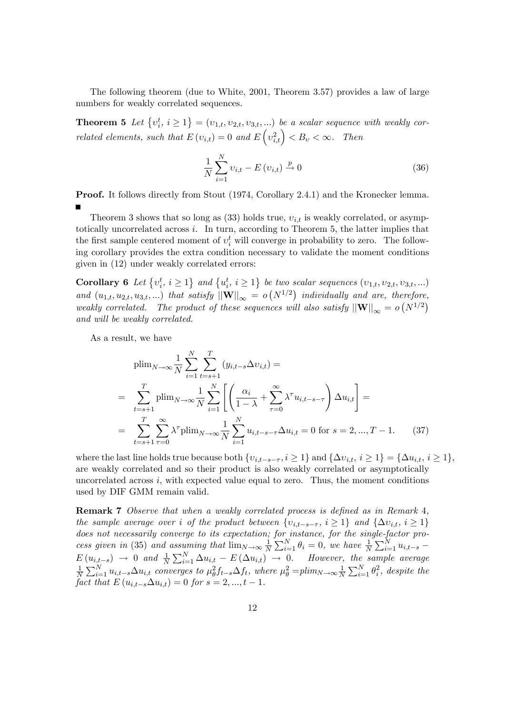The following theorem (due to White, 2001, Theorem 3.57) provides a law of large numbers for weakly correlated sequences.

**Theorem 5** Let  $\{v_i^t, i \geq 1\} = (v_{1,t}, v_{2,t}, v_{3,t}, ...)$  be a scalar sequence with weakly correlated elements, such that  $E(v_{i,t}) = 0$  and  $E(v_{i,t}^2) < B_v < \infty$ . Then

$$
\frac{1}{N} \sum_{i=1}^{N} \upsilon_{i,t} - E(\upsilon_{i,t}) \xrightarrow{p} 0
$$
\n(36)

Proof. It follows directly from Stout (1974, Corollary 2.4.1) and the Kronecker lemma.

Theorem 3 shows that so long as  $(33)$  holds true,  $v_{i,t}$  is weakly correlated, or asymptotically uncorrelated across i. In turn, according to Theorem 5, the latter implies that the first sample centered moment of  $v_i^t$  will converge in probability to zero. The following corollary provides the extra condition necessary to validate the moment conditions given in (12) under weakly correlated errors:

**Corollary 6** Let  $\{v_i^t, i \geq 1\}$  and  $\{u_i^t, i \geq 1\}$  be two scalar sequences  $(v_{1,t}, v_{2,t}, v_{3,t}, ...)$ and  $(u_{1,t}, u_{2,t}, u_{3,t}, ...)$  that satisfy  $\|\mathbf{W}\|_{\infty} = o(N^{1/2})$  individually and are, therefore, weakly correlated. The product of these sequences will also satisfy  $||\mathbf{W}||_{\infty} = o(N^{1/2})$ and will be weakly correlated.

As a result, we have

$$
\text{plim}_{N \to \infty} \frac{1}{N} \sum_{i=1}^{N} \sum_{t=s+1}^{T} (y_{i,t-s} \Delta v_{i,t}) =
$$
\n
$$
= \sum_{t=s+1}^{T} \text{plim}_{N \to \infty} \frac{1}{N} \sum_{i=1}^{N} \left[ \left( \frac{\alpha_i}{1-\lambda} + \sum_{\tau=0}^{\infty} \lambda^{\tau} u_{i,t-s-\tau} \right) \Delta u_{i,t} \right] =
$$
\n
$$
= \sum_{t=s+1}^{T} \sum_{\tau=0}^{\infty} \lambda^{\tau} \text{plim}_{N \to \infty} \frac{1}{N} \sum_{i=1}^{N} u_{i,t-s-\tau} \Delta u_{i,t} = 0 \text{ for } s = 2, ..., T-1.
$$
\n(37)

where the last line holds true because both  $\{v_{i,t-s-\tau}, i \geq 1\}$  and  $\{\Delta v_{i,t}, i \geq 1\} = \{\Delta u_{i,t}, i \geq 1\}$ , are weakly correlated and so their product is also weakly correlated or asymptotically uncorrelated across  $i$ , with expected value equal to zero. Thus, the moment conditions used by DIF GMM remain valid.

**Remark 7** Observe that when a weakly correlated process is defined as in Remark 4, the sample average over i of the product between  $\{v_{i,t-s-\tau}, i \geq 1\}$  and  $\{\Delta v_{i,t}, i \geq 1\}$ does not necessarily converge to its expectation; for instance, for the single-factor process given in (35) and assuming that  $\lim_{N\to\infty}\frac{1}{N}$  $\frac{1}{N} \sum_{i=1}^{N} \theta_i = 0$ , we have  $\frac{1}{N} \sum_{i=1}^{N} u_{i,t-s}$  $E(u_{i,t-s}) \to 0$  and  $\frac{1}{N} \sum_{i=1}^{N} \Delta u_{i,t} - E(\Delta u_{i,t}) \to 0$ . However, the sample average 1  $\frac{1}{N}\sum_{i=1}^{N}u_{i,t-s}\Delta u_{i,t}$  converges to  $\mu_{\theta}^2f_{t-s}\Delta f_t$ , where  $\mu_{\theta}^2 =plim_{N\to\infty}\frac{1}{N}$  $\frac{1}{N} \sum_{i=1}^{N} \theta_i^2$ , despite the fact that  $E(u_{i,t-s}\Delta u_{i,t}) = 0$  for  $s = 2, ..., t - 1$ .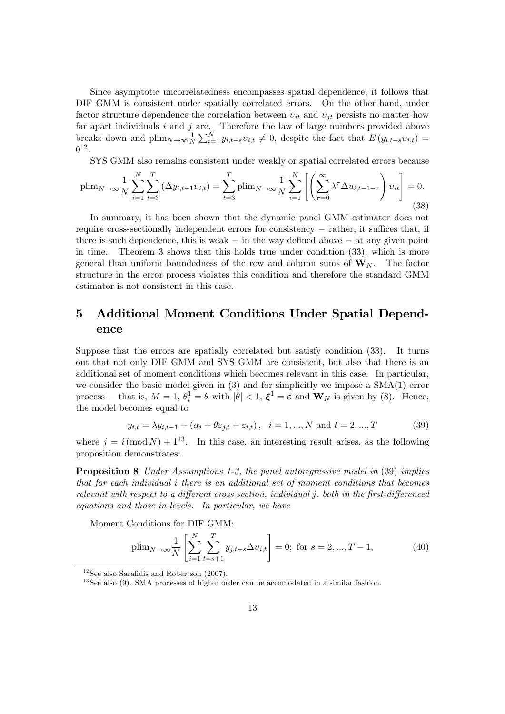Since asymptotic uncorrelatedness encompasses spatial dependence, it follows that DIF GMM is consistent under spatially correlated errors. On the other hand, under factor structure dependence the correlation between  $v_{it}$  and  $v_{jt}$  persists no matter how far apart individuals  $i$  and  $j$  are. Therefore the law of large numbers provided above breaks down and  $\text{plim}_{N\to\infty}\frac{1}{N}$  $\frac{1}{N}\sum_{i=1}^{N} y_{i,t-s}v_{i,t} \neq 0$ , despite the fact that  $E(y_{i,t-s}v_{i,t}) =$  $0^{12}$ .

SYS GMM also remains consistent under weakly or spatial correlated errors because

$$
\text{plim}_{N \to \infty} \frac{1}{N} \sum_{i=1}^{N} \sum_{t=3}^{T} \left( \Delta y_{i,t-1} v_{i,t} \right) = \sum_{t=3}^{T} \text{plim}_{N \to \infty} \frac{1}{N} \sum_{i=1}^{N} \left[ \left( \sum_{\tau=0}^{\infty} \lambda^{\tau} \Delta u_{i,t-1-\tau} \right) v_{it} \right] = 0. \tag{38}
$$

In summary, it has been shown that the dynamic panel GMM estimator does not require cross-sectionally independent errors for consistency  $-$  rather, it suffices that, if there is such dependence, this is weak  $-$  in the way defined above  $-$  at any given point in time. Theorem 3 shows that this holds true under condition  $(33)$ , which is more Theorem 3 shows that this holds true under condition  $(33)$ , which is more general than uniform boundedness of the row and column sums of  $W_N$ . The factor structure in the error process violates this condition and therefore the standard GMM estimator is not consistent in this case.

## 5 Additional Moment Conditions Under Spatial Dependence

Suppose that the errors are spatially correlated but satisfy condition (33). It turns out that not only DIF GMM and SYS GMM are consistent, but also that there is an additional set of moment conditions which becomes relevant in this case. In particular, we consider the basic model given in (3) and for simplicitly we impose a SMA(1) error process – that is,  $M = 1$ ,  $\theta_i^1 = \theta$  with  $|\theta| < 1$ ,  $\xi^1 = \varepsilon$  and  $\mathbf{W}_N$  is given by (8). Hence, the model becomes equal to

$$
y_{i,t} = \lambda y_{i,t-1} + (\alpha_i + \theta \varepsilon_{j,t} + \varepsilon_{i,t}), \quad i = 1, ..., N \text{ and } t = 2, ..., T
$$
 (39)

where  $j = i \pmod{N} + 1^{13}$ . In this case, an interesting result arises, as the following proposition demonstrates:

**Proposition 8** Under Assumptions 1-3, the panel autoregressive model in (39) implies that for each individual i there is an additional set of moment conditions that becomes relevant with respect to a different cross section, individual  $j$ , both in the first-differenced equations and those in levels. In particular, we have

Moment Conditions for DIF GMM:

$$
\text{plim}_{N \to \infty} \frac{1}{N} \left[ \sum_{i=1}^{N} \sum_{t=s+1}^{T} y_{j,t-s} \Delta v_{i,t} \right] = 0; \text{ for } s = 2, ..., T - 1,
$$
\n(40)

 $12$  See also Sarafidis and Robertson (2007).

<sup>&</sup>lt;sup>13</sup> See also (9). SMA processes of higher order can be accomodated in a similar fashion.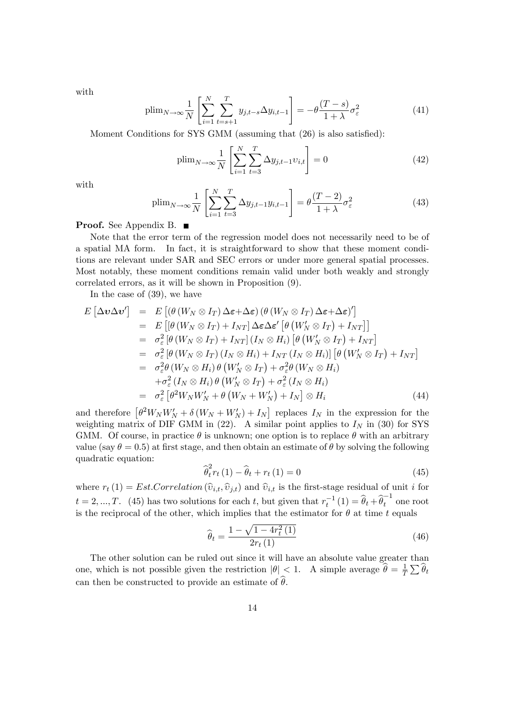with

$$
\text{plim}_{N \to \infty} \frac{1}{N} \left[ \sum_{i=1}^{N} \sum_{t=s+1}^{T} y_{j,t-s} \Delta y_{i,t-1} \right] = -\theta \frac{(T-s)}{1+\lambda} \sigma_{\varepsilon}^{2}
$$
(41)

Moment Conditions for SYS GMM (assuming that  $(26)$ ) is also satisfied):

$$
\text{plim}_{N \to \infty} \frac{1}{N} \left[ \sum_{i=1}^{N} \sum_{t=3}^{T} \Delta y_{j,t-1} v_{i,t} \right] = 0 \tag{42}
$$

with

$$
\text{plim}_{N \to \infty} \frac{1}{N} \left[ \sum_{i=1}^{N} \sum_{t=3}^{T} \Delta y_{j,t-1} y_{i,t-1} \right] = \theta \frac{(T-2)}{1+\lambda} \sigma_{\varepsilon}^{2}
$$
(43)

**Proof.** See Appendix B. ■

Note that the error term of the regression model does not necessarily need to be of a spatial MA form. In fact, it is straightforward to show that these moment conditions are relevant under SAR and SEC errors or under more general spatial processes. Most notably, these moment conditions remain valid under both weakly and strongly correlated errors, as it will be shown in Proposition (9).

In the case of (39), we have

$$
E\left[\Delta v \Delta v'\right] = E\left[\left(\theta \left(W_N \otimes I_T\right) \Delta \varepsilon + \Delta \varepsilon\right) \left(\theta \left(W_N \otimes I_T\right) \Delta \varepsilon + \Delta \varepsilon\right)'\right]
$$
  
\n
$$
= E\left[\left(\theta \left(W_N \otimes I_T\right) + I_{NT}\right] \Delta \varepsilon \Delta \varepsilon'\left[\theta \left(W_N' \otimes I_T\right) + I_{NT}\right]\right]
$$
  
\n
$$
= \sigma_{\varepsilon}^2 \left[\theta \left(W_N \otimes I_T\right) + I_{NT}\right] \left(I_N \otimes H_i\right) \left[\theta \left(W_N' \otimes I_T\right) + I_{NT}\right]
$$
  
\n
$$
= \sigma_{\varepsilon}^2 \left[\theta \left(W_N \otimes I_T\right) \left(I_N \otimes H_i\right) + I_{NT}\left(I_N \otimes H_i\right)\right] \left[\theta \left(W_N' \otimes I_T\right) + I_{NT}\right]
$$
  
\n
$$
= \sigma_{\varepsilon}^2 \theta \left(W_N \otimes H_i\right) \theta \left(W_N' \otimes I_T\right) + \sigma_{\varepsilon}^2 \theta \left(W_N \otimes H_i\right)
$$
  
\n
$$
+ \sigma_{\varepsilon}^2 \left(I_N \otimes H_i\right) \theta \left(W_N' \otimes I_T\right) + \sigma_{\varepsilon}^2 \left(I_N \otimes H_i\right)
$$
  
\n
$$
= \sigma_{\varepsilon}^2 \left[\theta^2 W_N W_N' + \theta \left(W_N + W_N'\right) + I_N\right] \otimes H_i
$$
 (44)

and therefore  $\left[\theta^2 W_N W_N' + \delta (W_N + W_N') + I_N\right]$  replaces  $I_N$  in the expression for the weighting matrix of DIF GMM in (22). A similar point applies to  $I<sub>N</sub>$  in (30) for SYS GMM. Of course, in practice  $\theta$  is unknown; one option is to replace  $\theta$  with an arbitrary value (say  $\theta = 0.5$ ) at first stage, and then obtain an estimate of  $\theta$  by solving the following quadratic equation:

$$
\widehat{\theta}_{t}^{2} r_{t} (1) - \widehat{\theta}_{t} + r_{t} (1) = 0
$$
\n(45)

where  $r_t(1) = Est.Correlation\left(\hat{v}_{i,t}, \hat{v}_{j,t}\right)$  and  $\hat{v}_{i,t}$  is the first-stage residual of unit i for  $t = 2, ..., T$ . (45) has two solutions for each t, but given that  $r_t^{-1}(1) = \hat{\theta}_t + \hat{\theta}_t^{-1}$  one root is the reciprocal of the other, which implies that the estimator for  $\theta$  at time t equals

$$
\widehat{\theta}_t = \frac{1 - \sqrt{1 - 4r_t^2(1)}}{2r_t(1)}\tag{46}
$$

The other solution can be ruled out since it will have an absolute value greater than one, which is not possible given the restriction  $|\theta| < 1$ . A simple average  $\hat{\theta} = \frac{1}{\overline{I}}$  $\frac{1}{T}\sum \widehat{\theta}_t$ can then be constructed to provide an estimate of  $\widehat{\theta}$ .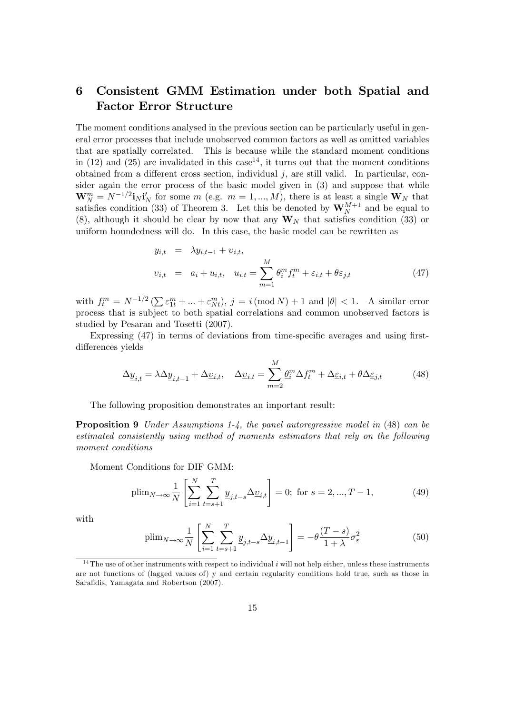## 6 Consistent GMM Estimation under both Spatial and Factor Error Structure

The moment conditions analysed in the previous section can be particularly useful in general error processes that include unobserved common factors as well as omitted variables that are spatially correlated. This is because while the standard moment conditions in (12) and (25) are invalidated in this case<sup>14</sup>, it turns out that the moment conditions obtained from a different cross section, individual  $j$ , are still valid. In particular, consider again the error process of the basic model given in (3) and suppose that while  $\mathbf{W}_{N}^{m} = N^{-1/2} \mathbf{i}_{N} \mathbf{i}'_{N}$  for some m (e.g.  $m = 1, ..., M$ ), there is at least a single  $\mathbf{W}_{N}$  that satisfies condition (33) of Theorem 3. Let this be denoted by  $\mathbf{W}_{N}^{M+1}$  and be equal to (8), although it should be clear by now that any  $W_N$  that satisfies condition (33) or uniform boundedness will do. In this case, the basic model can be rewritten as

$$
y_{i,t} = \lambda y_{i,t-1} + \nu_{i,t},
$$
  

$$
\nu_{i,t} = a_i + u_{i,t}, \quad u_{i,t} = \sum_{m=1}^{M} \theta_i^m f_t^m + \varepsilon_{i,t} + \theta \varepsilon_{j,t}
$$
 (47)

with  $f_t^m = N^{-1/2} \left( \sum \varepsilon_{1t}^m + \ldots + \varepsilon_{Nt}^m \right), j = i \left( \text{mod } N \right) + 1$  and  $|\theta| < 1$ . A similar error process that is subject to both spatial correlations and common unobserved factors is studied by Pesaran and Tosetti (2007).

Expressing  $(47)$  in terms of deviations from time-specific averages and using firstdifferences yields

$$
\Delta \underline{y}_{i,t} = \lambda \Delta \underline{y}_{i,t-1} + \Delta \underline{v}_{i,t}, \quad \Delta \underline{v}_{i,t} = \sum_{m=2}^{M} \underline{\theta}_i^m \Delta f_t^m + \Delta \underline{\varepsilon}_{i,t} + \theta \Delta \underline{\varepsilon}_{j,t}
$$
(48)

The following proposition demonstrates an important result:

Proposition 9 Under Assumptions 1-4, the panel autoregressive model in (48) can be estimated consistently using method of moments estimators that rely on the following moment conditions

Moment Conditions for DIF GMM:

$$
\text{plim}_{N \to \infty} \frac{1}{N} \left[ \sum_{i=1}^{N} \sum_{t=s+1}^{T} \underline{y}_{j,t-s} \Delta \underline{v}_{i,t} \right] = 0; \text{ for } s = 2, ..., T - 1,
$$
\n(49)

with

$$
\text{plim}_{N \to \infty} \frac{1}{N} \left[ \sum_{i=1}^{N} \sum_{t=s+1}^{T} \underline{y}_{j,t-s} \Delta \underline{y}_{i,t-1} \right] = -\theta \frac{(T-s)}{1+\lambda} \sigma_{\varepsilon}^{2} \tag{50}
$$

 $14$ The use of other instruments with respect to individual i will not help either, unless these instruments are not functions of (lagged values of) y and certain regularity conditions hold true, such as those in Sarafidis, Yamagata and Robertson (2007).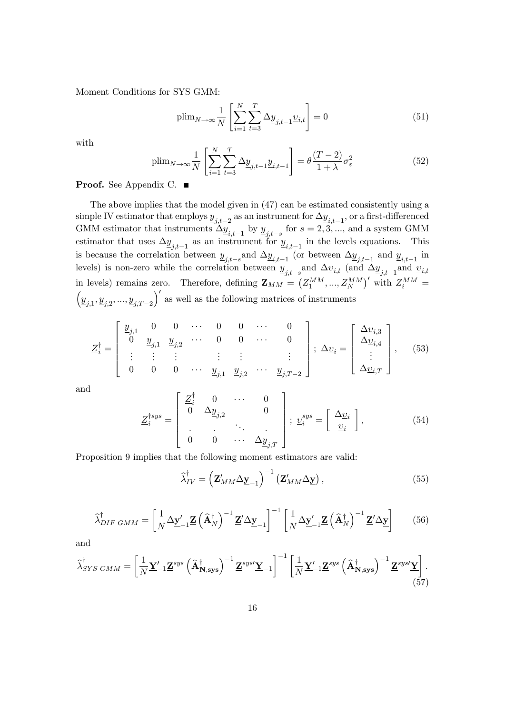Moment Conditions for SYS GMM:

$$
\text{plim}_{N \to \infty} \frac{1}{N} \left[ \sum_{i=1}^{N} \sum_{t=3}^{T} \Delta \underline{y}_{j,t-1} \underline{v}_{i,t} \right] = 0 \tag{51}
$$

with

$$
\text{plim}_{N \to \infty} \frac{1}{N} \left[ \sum_{i=1}^{N} \sum_{t=3}^{T} \Delta \underline{y}_{j,t-1} \underline{y}_{i,t-1} \right] = \theta \frac{(T-2)}{1+\lambda} \sigma_{\varepsilon}^{2} \tag{52}
$$

Proof. See Appendix C. ■

The above implies that the model given in (47) can be estimated consistently using a simple IV estimator that employs  $y_{n+2}$  as an instrument for  $\Delta y_{n+1}$ , or a first-differenced GMM estimator that instruments  $\Delta \underline{y}_{i,t-1}$  by  $\underline{y}_{j,t-s}$  for  $s = 2, 3, ...$ , and a system GMM estimator that uses  $\Delta y_{j,t-1}$  as an instrument for  $y_{i,t-1}$  in the levels equations. This is because the correlation between  $\underline{y}_{j,t-s}$  and  $\Delta \underline{y}_{i,t-1}$  (or between  $\Delta \underline{y}_{j,t-1}$  and  $\underline{y}_{i,t-1}$  in levels) is non-zero while the correlation between  $\underline{y}_{j,t-s}$  and  $\Delta \underline{v}_{i,t}$  (and  $\Delta \underline{y}_{j,t-1}$  and  $\underline{v}_{i,t}$ in levels) remains zero. Therefore, defining  $\mathbf{Z}_{MM} = (Z_1^{MM},..., Z_N^{MM})'$  with  $Z_i^{MM} =$  $(\underline{y}_{j,1}, \underline{y}_{j,2}, ..., \underline{y}_{j,T-2})'$  as well as the following matrices of instruments

$$
\underline{Z}_{i}^{\dagger} = \begin{bmatrix} \underline{y}_{j,1} & 0 & 0 & \cdots & 0 & 0 & \cdots & 0 \\ 0 & \underline{y}_{j,1} & \underline{y}_{j,2} & \cdots & 0 & 0 & \cdots & 0 \\ \vdots & \vdots & \vdots & & \vdots & \vdots & \vdots \\ 0 & 0 & 0 & \cdots & \underline{y}_{j,1} & \underline{y}_{j,2} & \cdots & \underline{y}_{j,T-2} \end{bmatrix}; \Delta \underline{v}_{i} = \begin{bmatrix} \Delta \underline{v}_{i,3} \\ \Delta \underline{v}_{i,4} \\ \vdots \\ \Delta \underline{v}_{i,T} \end{bmatrix}, \quad (53)
$$

and

$$
\underline{Z}_{i}^{\dagger sys} = \begin{bmatrix} \underline{Z}_{i}^{\dagger} & 0 & \cdots & 0 \\ 0 & \Delta \underline{y}_{j,2} & & 0 \\ \vdots & \vdots & \ddots & \vdots \\ 0 & 0 & \cdots & \Delta \underline{y}_{j,T} \end{bmatrix}; \ \underline{v}_{i}^{sys} = \begin{bmatrix} \Delta \underline{v}_{i} \\ \underline{v}_{i} \end{bmatrix}, \tag{54}
$$

Proposition 9 implies that the following moment estimators are valid:

$$
\widehat{\lambda}_{IV}^{\dagger} = \left(\mathbf{Z}_{MM}' \Delta \mathbf{y}_{-1}\right)^{-1} \left(\mathbf{Z}_{MM}' \Delta \mathbf{y}\right),\tag{55}
$$

$$
\widehat{\lambda}_{DIF\ GMM}^{\dagger} = \left[\frac{1}{N}\Delta \underline{\mathbf{y}}_{-1}^{\prime} \underline{\mathbf{Z}} \left(\widehat{\mathbf{A}}_{N}^{\dagger}\right)^{-1} \underline{\mathbf{Z}}^{\prime} \Delta \underline{\mathbf{y}}_{-1}\right]^{-1} \left[\frac{1}{N}\Delta \underline{\mathbf{y}}_{-1}^{\prime} \underline{\mathbf{Z}} \left(\widehat{\mathbf{A}}_{N}^{\dagger}\right)^{-1} \underline{\mathbf{Z}}^{\prime} \Delta \underline{\mathbf{y}}\right] \tag{56}
$$

and

$$
\widehat{\lambda}_{SYS\ GMM}^{\dagger} = \left[ \frac{1}{N} \underline{\mathbf{Y}}_{-1}^{\prime} \underline{\mathbf{Z}}^{sys} \left( \widehat{\mathbf{A}}_{\mathbf{N},\mathbf{sys}}^{\dagger} \right)^{-1} \underline{\mathbf{Z}}^{sys} \underline{\mathbf{Y}}_{-1} \right]^{-1} \left[ \frac{1}{N} \underline{\mathbf{Y}}_{-1}^{\prime} \underline{\mathbf{Z}}^{sys} \left( \widehat{\mathbf{A}}_{\mathbf{N},\mathbf{sys}}^{\dagger} \right)^{-1} \underline{\mathbf{Z}}^{sys} \underline{\mathbf{Y}} \right].
$$
\n(57)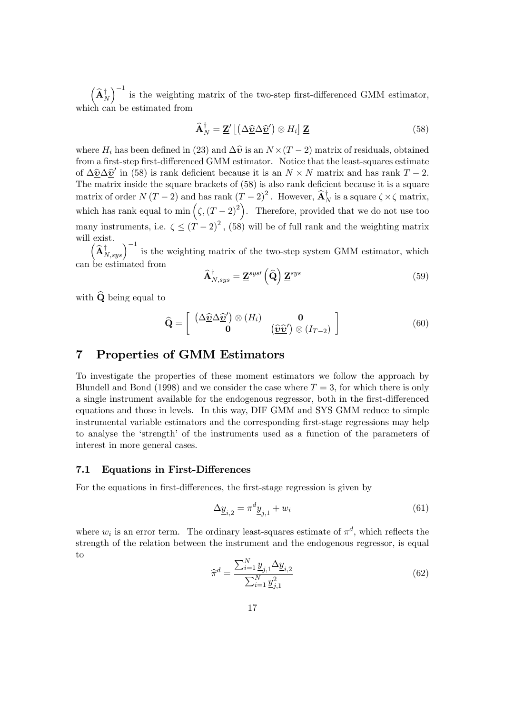$\left(\widehat{\mathbf{A}}_N^{\dagger}\right)$  $\int^{-1}$  is the weighting matrix of the two-step first-differenced GMM estimator, which can be estimated from

$$
\widehat{\mathbf{A}}_{N}^{\dagger} = \mathbf{Z}' \left[ \left( \Delta \widehat{\mathbf{v}} \Delta \widehat{\mathbf{v}}' \right) \otimes H_{i} \right] \mathbf{Z} \tag{58}
$$

where  $H_i$  has been defined in (23) and  $\Delta \hat{v}$  is an  $N \times (T - 2)$  matrix of residuals, obtained from a first-step first-differenced GMM estimator. Notice that the least-squares estimate of  $\Delta \hat{v} \Delta \hat{v}'$  in (58) is rank deficient because it is an  $N \times N$  matrix and has rank  $T - 2$ . The matrix inside the square brackets of  $(58)$  is also rank deficient because it is a square matrix of order  $N(T-2)$  and has rank  $(T-2)^2$ . However,  $\widehat{A}_N^{\dagger}$  is a square  $\zeta \times \zeta$  matrix, which has rank equal to min  $(\zeta, (T-2)^2)$ . Therefore, provided that we do not use too many instruments, i.e.  $\zeta \le (T-2)^2$ , (58) will be of full rank and the weighting matrix will exist.

 $\left(\widehat{\mathbf{A}}_{N,sys}^{\dagger}\right)^{-1}$  is the weighting matrix of the two-step system GMM estimator, which can be estimated from

$$
\widehat{\mathbf{A}}_{N,sys}^{\dagger} = \mathbf{\underline{Z}}^{sys} \left( \widehat{\mathbf{Q}} \right) \mathbf{\underline{Z}}^{sys} \tag{59}
$$

with  $\widehat{Q}$  being equal to

$$
\widehat{\mathbf{Q}} = \left[ \begin{array}{cc} \left( \Delta \widehat{\underline{\boldsymbol{v}}} \Delta \widehat{\underline{\boldsymbol{v}}}^{\prime} \right) \otimes \left( H_i \right) & \mathbf{0} \\ \mathbf{0} & \left( \widehat{\underline{\boldsymbol{v}}} \widehat{\underline{\boldsymbol{v}}}^{\prime} \right) \otimes \left( I_{T-2} \right) \end{array} \right] \tag{60}
$$

## 7 Properties of GMM Estimators

To investigate the properties of these moment estimators we follow the approach by Blundell and Bond (1998) and we consider the case where  $T = 3$ , for which there is only a single instrument available for the endogenous regressor, both in the first-differenced equations and those in levels. In this way, DIF GMM and SYS GMM reduce to simple instrumental variable estimators and the corresponding first-stage regressions may help to analyse the 'strength' of the instruments used as a function of the parameters of interest in more general cases.

#### 7.1 Equations in First-Differences

For the equations in first-differences, the first-stage regression is given by

$$
\Delta \underline{y}_{i,2} = \pi^d \underline{y}_{j,1} + w_i \tag{61}
$$

where  $w_i$  is an error term. The ordinary least-squares estimate of  $\pi^d$ , which reflects the strength of the relation between the instrument and the endogenous regressor, is equal to

$$
\widehat{\pi}^d = \frac{\sum_{i=1}^N \underline{y}_{j,1} \Delta \underline{y}_{i,2}}{\sum_{i=1}^N \underline{y}_{j,1}^2}
$$
(62)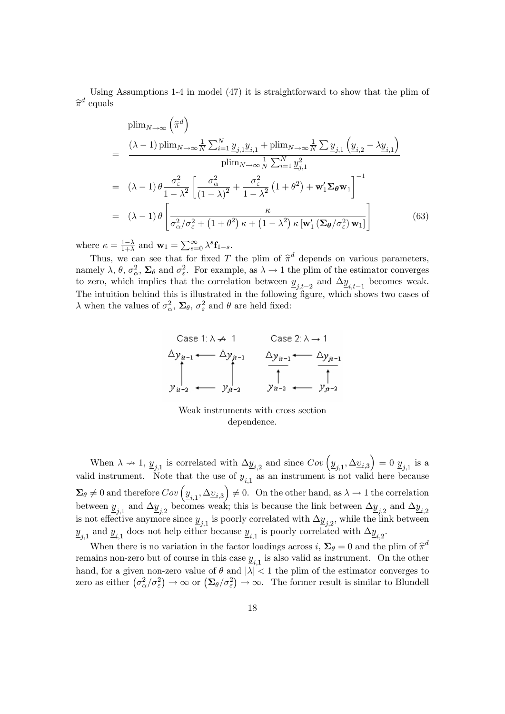Using Assumptions 1-4 in model (47) it is straightforward to show that the plim of  $\widehat{\pi}^d$  equals

$$
\begin{split}\n&\text{plim}_{N\to\infty} \left(\widehat{\pi}^{d}\right) \\
&= \frac{(\lambda - 1) \text{plim}_{N\to\infty} \frac{1}{N} \sum_{i=1}^{N} \underline{y}_{j,1} \underline{y}_{i,1} + \text{plim}_{N\to\infty} \frac{1}{N} \sum \underline{y}_{j,1} \left(\underline{y}_{i,2} - \lambda \underline{y}_{i,1}\right)}{\text{plim}_{N\to\infty} \frac{1}{N} \sum_{i=1}^{N} \underline{y}_{j,1}^{2}} \\
&= (\lambda - 1) \theta \frac{\sigma_{\varepsilon}^{2}}{1 - \lambda^{2}} \left[\frac{\sigma_{\alpha}^{2}}{(1 - \lambda)^{2}} + \frac{\sigma_{\varepsilon}^{2}}{1 - \lambda^{2}} \left(1 + \theta^{2}\right) + \mathbf{w}_{1}' \boldsymbol{\Sigma}_{\theta} \mathbf{w}_{1}\right]^{-1} \\
&= (\lambda - 1) \theta \left[\frac{\kappa}{\sigma_{\alpha}^{2} / \sigma_{\varepsilon}^{2} + \left(1 + \theta^{2}\right) \kappa + \left(1 - \lambda^{2}\right) \kappa \left[\mathbf{w}_{1}' \left(\boldsymbol{\Sigma}_{\theta} / \sigma_{\varepsilon}^{2}\right) \mathbf{w}_{1}\right]}\right] \tag{63}\n\end{split}
$$

where  $\kappa = \frac{1-\lambda}{1+\lambda}$  and  $\mathbf{w}_1 = \sum_{s=0}^{\infty} \lambda^s \mathbf{f}_{1-s}$ .

Thus, we can see that for fixed T the plim of  $\hat{\pi}^d$  depends on various parameters, namely  $\lambda$ ,  $\theta$ ,  $\sigma_{\alpha}^2$ ,  $\Sigma_{\theta}$  and  $\sigma_{\varepsilon}^2$ . For example, as  $\lambda \to 1$  the plim of the estimator converges to zero, which implies that the correlation between  $\underline{y}_{j,t-2}$  and  $\Delta \underline{y}_{i,t-1}$  becomes weak. The intuition behind this is illustrated in the following figure, which shows two cases of  $\lambda$  when the values of  $\sigma_{\alpha}^2$ ,  $\Sigma_{\theta}$ ,  $\sigma_{\varepsilon}^2$  and  $\theta$  are held fixed:

Case 1: 
$$
\lambda \nrightarrow 1
$$
 Case 2:  $\lambda \rightarrow 1$   
\n $\Delta y_{n-1} \leftarrow \Delta y_{n-1}$   $\Delta y_{n-1} \leftarrow \Delta y_{n-1}$   
\n $\uparrow$   $\uparrow$   $\uparrow$   $\downarrow$   $\downarrow$   
\n $y_{n-2} \leftarrow y_{n-2}$   $y_{n-2} \leftarrow y_{n-2}$ 

Weak instruments with cross section dependence.

When  $\lambda \to 1$ ,  $\underline{y}_{j,1}$  is correlated with  $\Delta \underline{y}_{i,2}$  and since  $Cov\left(\underline{y}_{j,1}, \Delta \underline{v}_{i,3}\right) = 0$   $\underline{y}_{j,1}$  is a valid instrument. Note that the use of  $\underline{y}_{i,1}$  as an instrument is not valid here because  $\Sigma_{\theta} \neq 0$  and therefore  $Cov\left(\underline{y}_{i,1}, \Delta \underline{v}_{i,3}\right) \neq 0$ . On the other hand, as  $\lambda \to 1$  the correlation between  $\underline{y}_{j,1}$  and  $\Delta \underline{y}_{j,2}$  becomes weak; this is because the link between  $\Delta \underline{y}_{j,2}$  and  $\Delta \underline{y}_{i,2}$ is not effective anymore since  $\underline{y}_{j,1}$  is poorly correlated with  $\Delta \underline{y}_{j,2}$ , while the link between  $\underline{y}_{j,1}$  and  $\underline{y}_{i,1}$  does not help either because  $\underline{y}_{i,1}$  is poorly correlated with  $\Delta \underline{y}_{i,2}$ .

When there is no variation in the factor loadings across  $i$ ,  $\Sigma_{\theta} = 0$  and the plim of  $\hat{\pi}^d$ remains non-zero but of course in this case  $\underline{y}_{i,1}$  is also valid as instrument. On the other hand, for a given non-zero value of  $\theta$  and  $|\lambda| < 1$  the plim of the estimator converges to zero as either  $(\sigma_{\alpha}^2/\sigma_{\varepsilon}^2) \to \infty$  or  $(\Sigma_{\theta}/\sigma_{\varepsilon}^2) \to \infty$ . The former result is similar to Blundell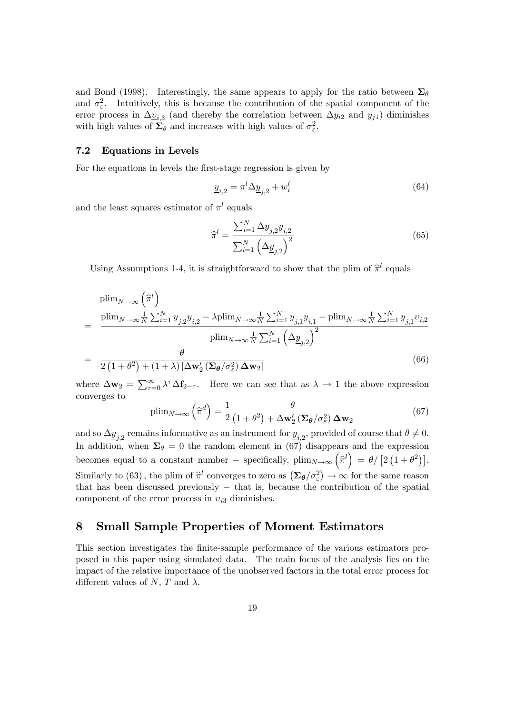and Bond (1998). Interestingly, the same appears to apply for the ratio between  $\Sigma_{\theta}$ and  $\sigma_{\varepsilon}^2$ . Intuitively, this is because the contribution of the spatial component of the error process in  $\Delta \underline{v}_{i,3}$  (and thereby the correlation between  $\Delta y_{i2}$  and  $y_{j1}$ ) diminishes with high values of  $\Sigma_{\theta}$  and increases with high values of  $\sigma_{\varepsilon}^2$ .

#### 7.2 Equations in Levels

=

=

For the equations in levels the first-stage regression is given by

$$
\underline{y}_{i,2} = \pi^l \Delta \underline{y}_{j,2} + w_i^l \tag{64}
$$

and the least squares estimator of  $\pi^l$  equals

$$
\widehat{\pi}^l = \frac{\sum_{i=1}^N \Delta \underline{y}_{j,2} \underline{y}_{i,2}}{\sum_{i=1}^N \left(\Delta \underline{y}_{j,2}\right)^2}
$$
(65)

Using Assumptions 1-4, it is straightforward to show that the plim of  $\hat{\pi}^l$  equals

$$
\text{plim}_{N \to \infty} \left( \hat{\pi}^l \right)
$$
\n
$$
= \frac{\text{plim}_{N \to \infty} \frac{1}{N} \sum_{i=1}^N \underline{y}_{j,2} \underline{y}_{i,2} - \lambda \text{plim}_{N \to \infty} \frac{1}{N} \sum_{i=1}^N \underline{y}_{j,1} \underline{y}_{i,1} - \text{plim}_{N \to \infty} \frac{1}{N} \sum_{i=1}^N \underline{y}_{j,1} \underline{v}_{i,2}}{\text{plim}_{N \to \infty} \frac{1}{N} \sum_{i=1}^N \left( \Delta \underline{y}_{j,2} \right)^2}
$$
\n
$$
= \frac{\theta}{2 \left( 1 + \theta^2 \right) + (1 + \lambda) \left[ \Delta \mathbf{w}_2' \left( \Sigma \theta / \sigma_\varepsilon^2 \right) \Delta \mathbf{w}_2 \right]} \tag{66}
$$

where  $\Delta w_2 = \sum_{\tau=0}^{\infty} \lambda^{\tau} \Delta f_{2-\tau}$ . Here we can see that as  $\lambda \to 1$  the above expression converges to

$$
\text{plim}_{N \to \infty} \left(\widehat{\pi}^d\right) = \frac{1}{2} \frac{\theta}{\left(1 + \theta^2\right) + \Delta \mathbf{w}_2' \left(\Sigma \theta / \sigma_\varepsilon^2\right) \Delta \mathbf{w}_2} \tag{67}
$$

and so  $\Delta \underline{y}_{j,2}$  remains informative as an instrument for  $\underline{y}_{i,2}$ , provided of course that  $\theta \neq 0$ . In addition, when  $\Sigma_{\theta} = 0$  the random element in (67) disappears and the expression becomes equal to a constant number – specifically,  $\lim_{N \to \infty} (\hat{\pi}^l) = \theta / [2 (1 + \theta^2)].$ Similarly to (63), the plim of  $\hat{\pi}^l$  converges to zero as  $(\Sigma_{\theta}/\sigma_{\varepsilon}^2) \to \infty$  for the same reason that has been discussed previously  $-$  that is, because the contribution of the spatial component of the error process in  $v_{i3}$  diminishes.

## 8 Small Sample Properties of Moment Estimators

This section investigates the finite-sample performance of the various estimators proposed in this paper using simulated data. The main focus of the analysis lies on the impact of the relative importance of the unobserved factors in the total error process for different values of N, T and  $\lambda$ .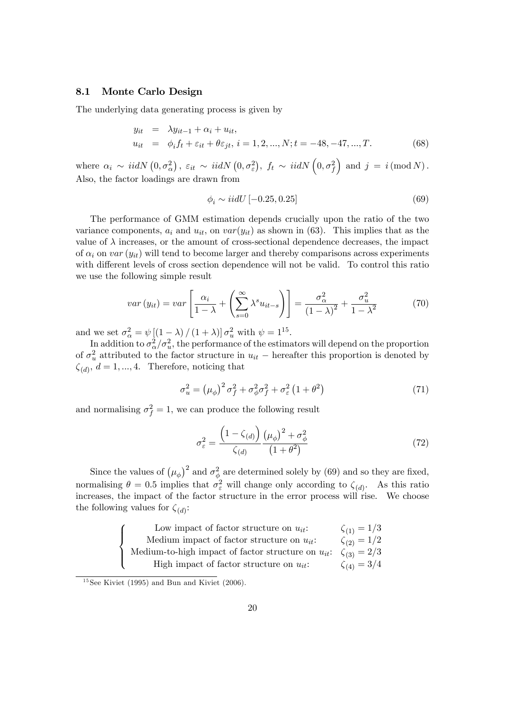#### 8.1 Monte Carlo Design

The underlying data generating process is given by

$$
y_{it} = \lambda y_{it-1} + \alpha_i + u_{it},
$$
  
\n
$$
u_{it} = \phi_i f_t + \varepsilon_{it} + \theta \varepsilon_{jt}, i = 1, 2, ..., N; t = -48, -47, ..., T.
$$
 (68)

where  $\alpha_i \sim \text{iidN}\left(0, \sigma_{\alpha}^2\right), \ \varepsilon_{it} \sim \text{ iidN}\left(0, \sigma_{\varepsilon}^2\right), \ f_t \sim \text{ iidN}\left(0, \sigma_{f}^2\right)$ ) and  $j = i \pmod{N}$ . Also, the factor loadings are drawn from

$$
\phi_i \sim i i dU \left[ -0.25, 0.25 \right] \tag{69}
$$

The performance of GMM estimation depends crucially upon the ratio of the two variance components,  $a_i$  and  $u_{it}$ , on  $var(y_{it})$  as shown in (63). This implies that as the value of  $\lambda$  increases, or the amount of cross-sectional dependence decreases, the impact of  $\alpha_i$  on var  $(y_{it})$  will tend to become larger and thereby comparisons across experiments with different levels of cross section dependence will not be valid. To control this ratio we use the following simple result

$$
var\left(y_{it}\right) = var\left[\frac{\alpha_i}{1-\lambda} + \left(\sum_{s=0}^{\infty} \lambda^s u_{it-s}\right)\right] = \frac{\sigma_{\alpha}^2}{\left(1-\lambda\right)^2} + \frac{\sigma_{u}^2}{1-\lambda^2} \tag{70}
$$

and we set  $\sigma_{\alpha}^2 = \psi \left[ (1 - \lambda) / (1 + \lambda) \right] \sigma_u^2$  with  $\psi = 1^{15}$ .

In addition to  $\sigma_{\alpha}^2/\sigma_u^2$ , the performance of the estimators will depend on the proportion of  $\sigma_u^2$  attributed to the factor structure in  $u_{it}$  – hereafter this proportion is denoted by  $\zeta_{(d)}, d = 1, ..., 4$ . Therefore, noticing that

$$
\sigma_u^2 = \left(\mu_\phi\right)^2 \sigma_f^2 + \sigma_\phi^2 \sigma_f^2 + \sigma_\varepsilon^2 \left(1 + \theta^2\right) \tag{71}
$$

and normalising  $\sigma_f^2 = 1$ , we can produce the following result

$$
\sigma_{\varepsilon}^{2} = \frac{\left(1 - \zeta_{(d)}\right)}{\zeta_{(d)}} \frac{\left(\mu_{\phi}\right)^{2} + \sigma_{\phi}^{2}}{\left(1 + \theta^{2}\right)}
$$
(72)

Since the values of  $(\mu_{\phi})^2$  and  $\sigma_{\phi}^2$  are determined solely by (69) and so they are fixed, normalising  $\theta = 0.5$  implies that  $\sigma_{\varepsilon}^2$  will change only according to  $\zeta_{(d)}$ . As this ratio increases, the impact of the factor structure in the error process will rise. We choose the following values for  $\zeta_{(d)}$ :

| Low impact of factor structure on $u_{it}$ :            | $\zeta_{(1)} = 1/3$ |
|---------------------------------------------------------|---------------------|
| Medium impact of factor structure on $u_{it}$ .         | $\zeta_{(2)} = 1/2$ |
| Medium-to-high impact of factor structure on $u_{it}$ : | $\zeta_{(3)} = 2/3$ |
| High impact of factor structure on $u_{it}$ :           | $\zeta_{(4)} = 3/4$ |

 $15$ See Kiviet (1995) and Bun and Kiviet (2006).

 $\sqrt{2}$  $\left| \right|$ 

 $\downarrow$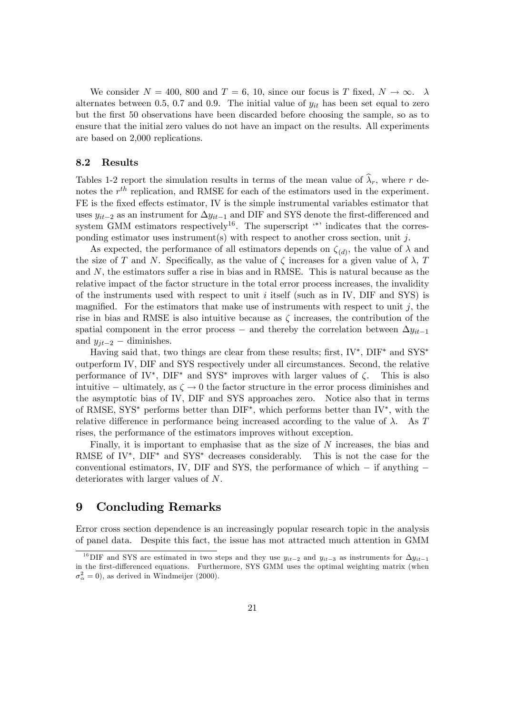We consider  $N = 400$ , 800 and  $T = 6$ , 10, since our focus is T fixed,  $N \to \infty$ . alternates between 0.5, 0.7 and 0.9. The initial value of  $y_{it}$  has been set equal to zero but the first 50 observations have been discarded before choosing the sample, so as to ensure that the initial zero values do not have an impact on the results. All experiments are based on 2,000 replications.

#### 8.2 Results

Tables 1-2 report the simulation results in terms of the mean value of  $\hat{\lambda}_r$ , where r denotes the  $r^{th}$  replication, and RMSE for each of the estimators used in the experiment. FE is the fixed effects estimator, IV is the simple instrumental variables estimator that uses  $y_{it-2}$  as an instrument for  $\Delta y_{it-1}$  and DIF and SYS denote the first-differenced and system GMM estimators respectively<sup>16</sup>. The superscript  $\cdot^*$  indicates that the corresponding estimator uses instrument(s) with respect to another cross section, unit  $j$ .

As expected, the performance of all estimators depends on  $\zeta_{(d)}$ , the value of  $\lambda$  and the size of T and N. Specifically, as the value of  $\zeta$  increases for a given value of  $\lambda$ , T and  $N$ , the estimators suffer a rise in bias and in RMSE. This is natural because as the relative impact of the factor structure in the total error process increases, the invalidity of the instruments used with respect to unit  $i$  itself (such as in IV, DIF and SYS) is magnified. For the estimators that make use of instruments with respect to unit  $j$ , the rise in bias and RMSE is also intuitive because as  $\zeta$  increases, the contribution of the spatial component in the error process – and thereby the correlation between  $\Delta y_{it-1}$ and  $y_{it-2}$  - diminishes.

Having said that, two things are clear from these results; first,  $IV^*$ ,  $DIF^*$  and  $SYS^*$ outperform IV, DIF and SYS respectively under all circumstances. Second, the relative performance of IV<sup>\*</sup>, DIF<sup>\*</sup> and SYS<sup>\*</sup> improves with larger values of  $\zeta$ . This is also intuitive – ultimately, as  $\zeta \to 0$  the factor structure in the error process diminishes and the asymptotic bias of IV, DIF and SYS approaches zero. Notice also that in terms of RMSE, SYS<sup>\*</sup> performs better than  $\text{DIF}^*$ , which performs better than IV<sup>\*</sup>, with the relative difference in performance being increased according to the value of  $\lambda$ . As T rises, the performance of the estimators improves without exception.

Finally, it is important to emphasise that as the size of N increases, the bias and RMSE of IV<sup>\*</sup>,  $DIF^*$  and SYS<sup>\*</sup> decreases considerably. This is not the case for the conventional estimators, IV, DIF and SYS, the performance of which  $-$  if anything  $$ deteriorates with larger values of N.

## 9 Concluding Remarks

Error cross section dependence is an increasingly popular research topic in the analysis of panel data. Despite this fact, the issue has mot attracted much attention in GMM

<sup>&</sup>lt;sup>16</sup>DIF and SYS are estimated in two steps and they use  $y_{it-2}$  and  $y_{it-3}$  as instruments for  $\Delta y_{it-1}$ in the first-differenced equations. Furthermore, SYS GMM uses the optimal weighting matrix (when  $\sigma_{\alpha}^{2} = 0$ ), as derived in Windmeijer (2000).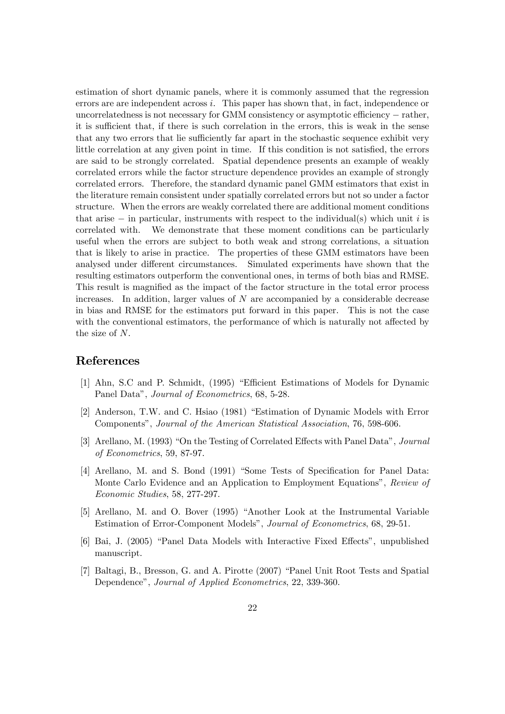estimation of short dynamic panels, where it is commonly assumed that the regression errors are are independent across i. This paper has shown that, in fact, independence or uncorrelatedness is not necessary for GMM consistency or asymptotic efficiency  $-$  rather, it is sufficient that, if there is such correlation in the errors, this is weak in the sense that any two errors that lie sufficiently far apart in the stochastic sequence exhibit very little correlation at any given point in time. If this condition is not satisfied, the errors are said to be strongly correlated. Spatial dependence presents an example of weakly correlated errors while the factor structure dependence provides an example of strongly correlated errors. Therefore, the standard dynamic panel GMM estimators that exist in the literature remain consistent under spatially correlated errors but not so under a factor structure. When the errors are weakly correlated there are additional moment conditions that arise  $-$  in particular, instruments with respect to the individual(s) which unit i is correlated with. We demonstrate that these moment conditions can be particularly We demonstrate that these moment conditions can be particularly useful when the errors are subject to both weak and strong correlations, a situation that is likely to arise in practice. The properties of these GMM estimators have been analysed under different circumstances. Simulated experiments have shown that the resulting estimators outperform the conventional ones, in terms of both bias and RMSE. This result is magnified as the impact of the factor structure in the total error process increases. In addition, larger values of N are accompanied by a considerable decrease in bias and RMSE for the estimators put forward in this paper. This is not the case with the conventional estimators, the performance of which is naturally not affected by the size of N.

### References

- [1] Ahn, S.C and P. Schmidt, (1995) "Efficient Estimations of Models for Dynamic Panel Data", Journal of Econometrics, 68, 5-28.
- [2] Anderson, T.W. and C. Hsiao (1981) "Estimation of Dynamic Models with Error Components", Journal of the American Statistical Association, 76, 598-606.
- [3] Arellano, M. (1993) "On the Testing of Correlated Effects with Panel Data", Journal of Econometrics, 59, 87-97.
- [4] Arellano, M. and S. Bond (1991) "Some Tests of Specification for Panel Data: Monte Carlo Evidence and an Application to Employment Equations", Review of Economic Studies, 58, 277-297.
- [5] Arellano, M. and O. Bover (1995) "Another Look at the Instrumental Variable Estimation of Error-Component Models", Journal of Econometrics, 68, 29-51.
- [6] Bai, J. (2005) "Panel Data Models with Interactive Fixed Effects", unpublished manuscript.
- [7] Baltagi, B., Bresson, G. and A. Pirotte (2007) "Panel Unit Root Tests and Spatial Dependence", Journal of Applied Econometrics, 22, 339-360.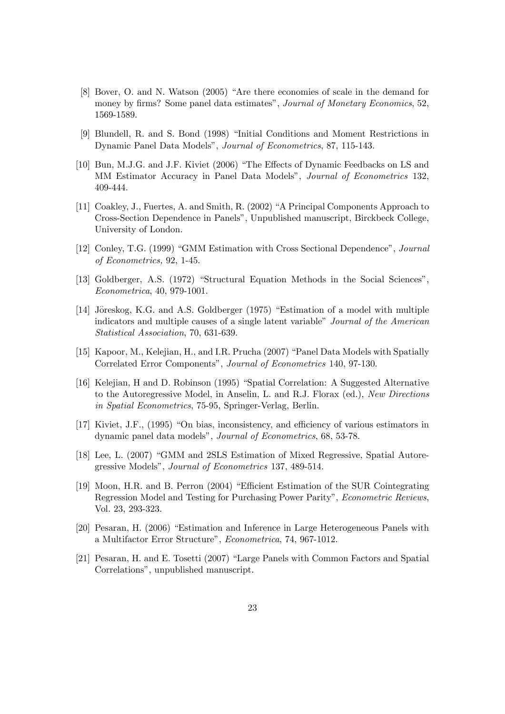- [8] Bover, O. and N. Watson (2005) "Are there economies of scale in the demand for money by firms? Some panel data estimates", Journal of Monetary Economics, 52, 1569-1589.
- [9] Blundell, R. and S. Bond (1998) "Initial Conditions and Moment Restrictions in Dynamic Panel Data Models", Journal of Econometrics, 87, 115-143.
- [10] Bun, M.J.G. and J.F. Kiviet (2006) "The Effects of Dynamic Feedbacks on LS and MM Estimator Accuracy in Panel Data Models", Journal of Econometrics 132, 409-444.
- [11] Coakley, J., Fuertes, A. and Smith, R. (2002) "A Principal Components Approach to Cross-Section Dependence in Panels", Unpublished manuscript, Birckbeck College, University of London.
- [12] Conley, T.G. (1999) "GMM Estimation with Cross Sectional Dependence", Journal of Econometrics, 92, 1-45.
- [13] Goldberger, A.S. (1972) "Structural Equation Methods in the Social Sciences", *Econometrica*, 40, 979-1001.
- [14] Jöreskog, K.G. and A.S. Goldberger (1975) "Estimation of a model with multiple indicators and multiple causes of a single latent variable" Journal of the American *Statistical Association*, 70, 631-639.
- [15] Kapoor, M., Kelejian, H., and I.R. Prucha (2007) "Panel Data Models with Spatially Correlated Error Components", Journal of Econometrics 140, 97-130.
- [16] Kelejian, H and D. Robinson (1995) "Spatial Correlation: A Suggested Alternative to the Autoregressive Model, in Anselin, L. and R.J. Florax (ed.), New Directions in Spatial Econometrics, 75-95, Springer-Verlag, Berlin.
- [17] Kiviet, J.F., (1995) "On bias, inconsistency, and efficiency of various estimators in dynamic panel data models", Journal of Econometrics, 68, 53-78.
- [18] Lee, L. (2007) "GMM and 2SLS Estimation of Mixed Regressive, Spatial Autoregressive Models", *Journal of Econometrics* 137, 489-514.
- [19] Moon, H.R. and B. Perron (2004) "Efficient Estimation of the SUR Cointegrating Regression Model and Testing for Purchasing Power Parity", *Econometric Reviews*, Vol. 23, 293-323.
- [20] Pesaran, H. (2006) "Estimation and Inference in Large Heterogeneous Panels with a Multifactor Error Structure", *Econometrica*, 74, 967-1012.
- [21] Pesaran, H. and E. Tosetti (2007) "Large Panels with Common Factors and Spatial Correlations", unpublished manuscript.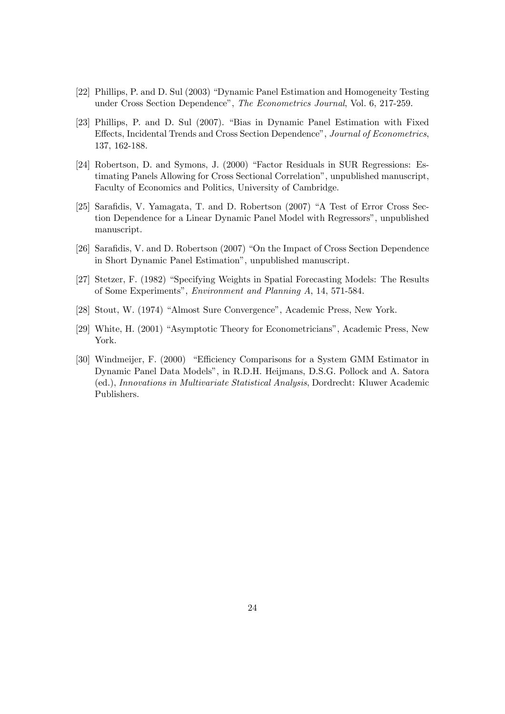- [22] Phillips, P. and D. Sul (2003) "Dynamic Panel Estimation and Homogeneity Testing under Cross Section Dependence", The Econometrics Journal, Vol. 6, 217-259.
- [23] Phillips, P. and D. Sul (2007). "Bias in Dynamic Panel Estimation with Fixed Effects, Incidental Trends and Cross Section Dependence", Journal of Econometrics, 137, 162-188.
- [24] Robertson, D. and Symons, J. (2000) "Factor Residuals in SUR Regressions: Estimating Panels Allowing for Cross Sectional Correlation", unpublished manuscript, Faculty of Economics and Politics, University of Cambridge.
- [25] Sarafidis, V. Yamagata, T. and D. Robertson (2007) "A Test of Error Cross Section Dependence for a Linear Dynamic Panel Model with Regressors", unpublished manuscript.
- [26] Sarafidis, V. and D. Robertson (2007) "On the Impact of Cross Section Dependence in Short Dynamic Panel Estimation", unpublished manuscript.
- [27] Stetzer, F. (1982) "Specifying Weights in Spatial Forecasting Models: The Results of Some Experiments", *Environment and Planning A*, 14, 571-584.
- [28] Stout, W. (1974) "Almost Sure Convergence", Academic Press, New York.
- [29] White, H. (2001) "Asymptotic Theory for Econometricians", Academic Press, New York.
- [30] Windmeiler, F. (2000) "Efficiency Comparisons for a System GMM Estimator in Dynamic Panel Data Models", in R.D.H. Heijmans, D.S.G. Pollock and A. Satora (ed.), Innovations in Multivariate Statistical Analysis, Dordrecht: Kluwer Academic Publishers.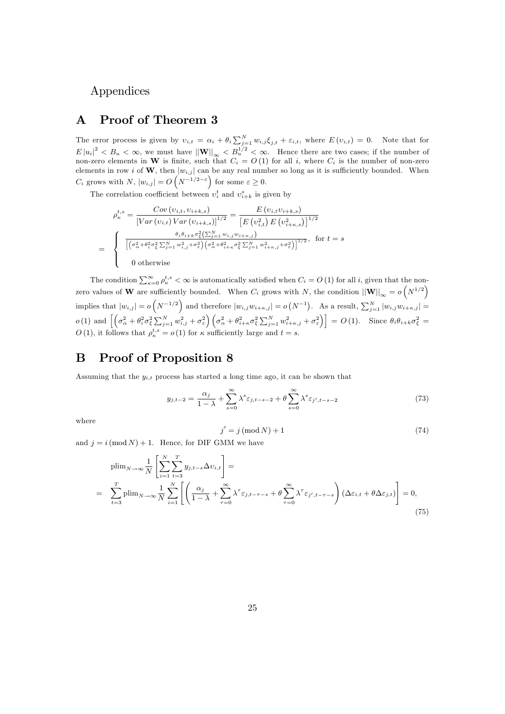## Appendices

## A Proof of Theorem 3

The error process is given by  $v_{i,t} = \alpha_i + \theta_i \sum_{j=1}^N w_{i,j} \xi_{j,t} + \varepsilon_{i,t}$ , where  $E(v_{i,t}) = 0$ . Note that for  $E |u_i|^2 < B_u < \infty$ , we must have  $||\mathbf{W}||_{\infty} < B_u^{1/2} < \infty$ . Hence there are two cases; if the number of non-zero elements in W is finite, such that  $C_i = O(1)$  for all i, where  $C_i$  is the number of non-zero elements in row i of W, then  $|w_{i,j}|$  can be any real number so long as it is sufficiently bounded. When  $C_i$  grows with  $N$ ,  $|w_{i,j}| = O\left(N^{-1/2-\varepsilon}\right)$  for some  $\varepsilon \geq 0$ .

The correlation coefficient between  $v_i^t$  and  $v_{i+k}^s$  is given by

$$
\rho_{\kappa}^{t,s} = \frac{Cov(v_{i,t}, v_{i+k,s})}{[Var(v_{i,t}) Var(v_{i+k,s})]^{1/2}} = \frac{E(v_{i,t}v_{i+k,s})}{[E(v_{i,t}^2) E(v_{i+k,s}^2)]^{1/2}}
$$

$$
= \begin{cases} \frac{\theta_i \theta_{i+k} \sigma_{\xi}^2 (\sum_{j=1}^N w_{i,j} w_{i+k,j})}{[(\sigma_{\alpha}^2 + \theta_i^2 \sigma_{\xi}^2 \sum_{j=1}^N w_{i,j}^2 + \sigma_{\xi}^2) (\sigma_{\alpha}^2 + \theta_{i+k}^2 \sigma_{\xi}^2 \sum_{j=1}^N w_{i+k,j}^2 + \sigma_{\xi}^2)]^{1/2}}, & \text{for } t=s\\ 0 & \text{otherwise} \end{cases}
$$

The condition  $\sum_{\kappa=0}^{\infty} \rho_{\kappa}^{t,s} < \infty$  is automatically satisfied when  $C_i = O(1)$  for all i, given that the nonzero values of W are sufficiently bounded. When  $C_i$  grows with N, the condition  $||\mathbf{W}||_{\infty} = o(N^{1/2})$ implies that  $|w_{i,j}| = o(N^{-1/2})$  and therefore  $|w_{i,j}w_{i+\kappa,j}| = o(N^{-1})$ . As a result,  $\sum_{j=1}^{N} |w_{i,j}w_{i+\kappa,j}| = o(N^{-1})$  $o(1)$  and  $\left[\left(\sigma_{\alpha}^2 + \theta_i^2 \sigma_{\xi}^2 \sum_{j=1}^N w_{i,j}^2 + \sigma_{\varepsilon}^2\right) \left(\sigma_{\alpha}^2 + \theta_{i+\kappa}^2 \sigma_{\xi}^2 \sum_{j=1}^N w_{i+\kappa,j}^2 + \sigma_{\varepsilon}^2\right)\right] = O(1)$ . Since  $\theta_i \theta_{i+\kappa} \sigma_{\xi}^2 =$  $O(1)$ , it follows that  $\rho_{\kappa}^{t,s} = o(1)$  for  $\kappa$  sufficiently large and  $t = s$ .

## B Proof of Proposition 8

Assuming that the  $y_{i,t}$  process has started a long time ago, it can be shown that

$$
y_{j,t-2} = \frac{\alpha_j}{1-\lambda} + \sum_{s=0}^{\infty} \lambda^s \varepsilon_{j,t-s-2} + \theta \sum_{s=0}^{\infty} \lambda^s \varepsilon_{j',t-s-2}
$$
(73)

where

$$
j' = j \left( \text{mod } N \right) + 1 \tag{74}
$$

and  $j = i \pmod{N} + 1$ . Hence, for DIF GMM we have

$$
\begin{split}\n\text{plim}_{N \to \infty} \frac{1}{N} \left[ \sum_{i=1}^{N} \sum_{t=3}^{T} y_{j,t-s} \Delta v_{i,t} \right] &= \\
&= \sum_{t=3}^{T} \text{plim}_{N \to \infty} \frac{1}{N} \sum_{i=1}^{N} \left[ \left( \frac{\alpha_j}{1-\lambda} + \sum_{\tau=0}^{\infty} \lambda^{\tau} \varepsilon_{j,t-\tau-s} + \theta \sum_{\tau=0}^{\infty} \lambda^{\tau} \varepsilon_{j',t-\tau-s} \right) \left( \Delta \varepsilon_{i,t} + \theta \Delta \varepsilon_{j,t} \right) \right] &= 0,\n\end{split} \tag{75}
$$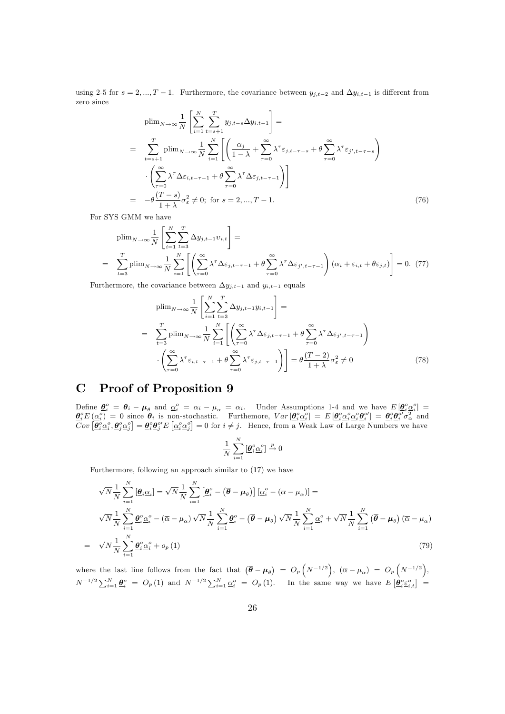using 2-5 for  $s = 2, ..., T - 1$ . Furthermore, the covariance between  $y_{j,t-2}$  and  $\Delta y_{i,t-1}$  is different from zero since

$$
\text{plim}_{N \to \infty} \frac{1}{N} \left[ \sum_{i=1}^{N} \sum_{t=s+1}^{T} y_{j,t-s} \Delta y_{i,t-1} \right] =
$$
\n
$$
= \sum_{t=s+1}^{T} \text{plim}_{N \to \infty} \frac{1}{N} \sum_{i=1}^{N} \left[ \left( \frac{\alpha_j}{1-\lambda} + \sum_{\tau=0}^{\infty} \lambda^{\tau} \varepsilon_{j,t-\tau-s} + \theta \sum_{\tau=0}^{\infty} \lambda^{\tau} \varepsilon_{j',t-\tau-s} \right) \right]
$$
\n
$$
\cdot \left( \sum_{\tau=0}^{\infty} \lambda^{\tau} \Delta \varepsilon_{i,t-\tau-1} + \theta \sum_{\tau=0}^{\infty} \lambda^{\tau} \Delta \varepsilon_{j,t-\tau-1} \right) \right]
$$
\n
$$
= -\theta \frac{(T-s)}{1+\lambda} \sigma_{\varepsilon}^{2} \neq 0; \text{ for } s = 2, ..., T-1.
$$
\n(76)

For SYS GMM we have

$$
\text{plim}_{N \to \infty} \frac{1}{N} \left[ \sum_{i=1}^{N} \sum_{t=3}^{T} \Delta y_{j,t-1} v_{i,t} \right] =
$$
\n
$$
= \sum_{t=3}^{T} \text{plim}_{N \to \infty} \frac{1}{N} \sum_{i=1}^{N} \left[ \left( \sum_{\tau=0}^{\infty} \lambda^{\tau} \Delta \varepsilon_{j,t-\tau-1} + \theta \sum_{\tau=0}^{\infty} \lambda^{\tau} \Delta \varepsilon_{j',t-\tau-1} \right) (\alpha_i + \varepsilon_{i,t} + \theta \varepsilon_{j,t}) \right] = 0. (77)
$$

Furthermore, the covariance between  $\Delta y_{j,t-1}$  and  $y_{i,t-1}$  equals

$$
\text{plim}_{N \to \infty} \frac{1}{N} \left[ \sum_{i=1}^{N} \sum_{t=3}^{T} \Delta y_{j,t-1} y_{i,t-1} \right] =
$$
\n
$$
= \sum_{t=3}^{T} \text{plim}_{N \to \infty} \frac{1}{N} \sum_{i=1}^{N} \left[ \left( \sum_{\tau=0}^{\infty} \lambda^{\tau} \Delta \varepsilon_{j,t-\tau-1} + \theta \sum_{\tau=0}^{\infty} \lambda^{\tau} \Delta \varepsilon_{j',t-\tau-1} \right) \right]
$$
\n
$$
\cdot \left( \sum_{\tau=0}^{\infty} \lambda^{\tau} \varepsilon_{i,t-\tau-1} + \theta \sum_{\tau=0}^{\infty} \lambda^{\tau} \varepsilon_{j,t-\tau-1} \right) \right] = \theta \frac{(T-2)}{1+\lambda} \sigma_{\varepsilon}^{2} \neq 0 \tag{78}
$$

#### **Proof of Proposition 9**  $\mathbf C$

Define  $\underline{\theta}^o_i = \theta_i - \mu_\theta$  and  $\underline{\alpha}^o_i = \alpha_i - \mu_\alpha = \alpha_i$ . Under Assumptions 1-4 and we have  $E[\underline{\theta}^o_i \underline{\alpha}^o_i] = \underline{\theta}^o_i E(\underline{\alpha}^o_i) = 0$  since  $\theta_i$  is non-stochastic. Furthemore,  $Var[\underline{\theta}^o_i \underline{\alpha}^o_i] = E[\underline{\theta}^o_i \underline{\alpha}^o_i \underline{\alpha}^$ 

$$
\frac{1}{N}\sum_{i=1}^N \left[\underline{\boldsymbol{\theta}}_i^o \underline{\boldsymbol{\alpha}}_i^o\right] \overset{p}{\to} 0
$$

Furthermore, following an approach similar to  $(17)$  we have

$$
\sqrt{N} \frac{1}{N} \sum_{i=1}^{N} \left[ \underline{\boldsymbol{\theta}}_{i} \underline{\boldsymbol{\alpha}}_{i} \right] = \sqrt{N} \frac{1}{N} \sum_{i=1}^{N} \left[ \underline{\boldsymbol{\theta}}_{i}^{\circ} - (\overline{\boldsymbol{\theta}} - \boldsymbol{\mu}_{\theta}) \right] \left[ \underline{\boldsymbol{\alpha}}_{i}^{\circ} - (\overline{\boldsymbol{\alpha}} - \boldsymbol{\mu}_{\alpha}) \right] =
$$
\n
$$
\sqrt{N} \frac{1}{N} \sum_{i=1}^{N} \underline{\boldsymbol{\theta}}_{i}^{\circ} \underline{\boldsymbol{\alpha}}_{i}^{\circ} - (\overline{\boldsymbol{\alpha}} - \boldsymbol{\mu}_{\alpha}) \sqrt{N} \frac{1}{N} \sum_{i=1}^{N} \underline{\boldsymbol{\theta}}_{i}^{\circ} - (\overline{\boldsymbol{\theta}} - \boldsymbol{\mu}_{\theta}) \sqrt{N} \frac{1}{N} \sum_{i=1}^{N} \underline{\boldsymbol{\alpha}}_{i}^{\circ} + \sqrt{N} \frac{1}{N} \sum_{i=1}^{N} (\overline{\boldsymbol{\theta}} - \boldsymbol{\mu}_{\theta}) (\overline{\boldsymbol{\alpha}} - \boldsymbol{\mu}_{\alpha})
$$
\n
$$
= \sqrt{N} \frac{1}{N} \sum_{i=1}^{N} \underline{\boldsymbol{\theta}}_{i}^{\circ} \underline{\boldsymbol{\alpha}}_{i}^{\circ} + o_{p} \left( 1 \right) \tag{79}
$$

where the last line follows from the fact that  $(\bar{\theta} - \mu_{\theta}) = O_p(N^{-1/2}), (\bar{\alpha} - \mu_{\alpha}) = O_p(N^{-1/2}),$ <br> $N^{-1/2} \sum_{i=1}^N \underline{\theta}_i^o = O_p(1)$  and  $N^{-1/2} \sum_{i=1}^N \underline{\alpha}_i^o = O_p(1)$ . In the same way we have  $E[\underline{\theta}_i^o \underline{\varepsilon}_{i,t}^o] =$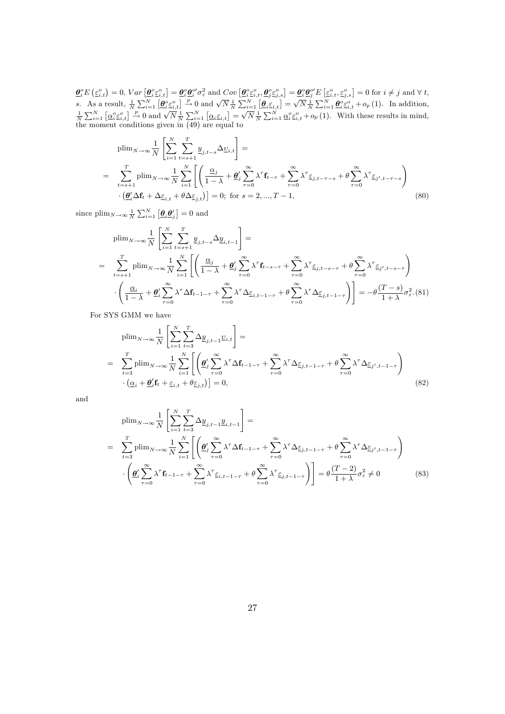$\begin{array}{l} \underline{\theta}^o_iE\left(\underline{\varepsilon}^o_{i,t}\right)=0,\, Var\left[\underline{\theta}^o_i\underline{\varepsilon}^o_{i,t}\right]=\underline{\theta}^o_i\underline{\theta}^{o}_i\sigma^2_\varepsilon \text{ and }Cov\left[\underline{\theta}^o_i\underline{\varepsilon}^o_{i,t},\underline{\theta}^o_j\underline{\varepsilon}^o_{j,s}\right]=\underline{\theta}^o_i\underline{\theta}^{o}_j'E\left[\underline{\varepsilon}^o_{i,t},\underline{\varepsilon}^o_{j,s}\right]=0\text{ for }i\neq j\text{ and }\forall\, t,\\ s. \quad \$ 

$$
\text{plim}_{N \to \infty} \frac{1}{N} \left[ \sum_{i=1}^{N} \sum_{t=s+1}^{T} \underline{y}_{j,t-s} \Delta \underline{v}_{i,t} \right] =
$$
\n
$$
= \sum_{t=s+1}^{T} \text{plim}_{N \to \infty} \frac{1}{N} \sum_{i=1}^{N} \left[ \left( \frac{\underline{\alpha}_{j}}{1-\lambda} + \underline{\theta}_{j} \sum_{\tau=0}^{\infty} \lambda^{\tau} \mathbf{f}_{t-\tau} + \sum_{\tau=0}^{\infty} \lambda^{\tau} \underline{\varepsilon}_{j,t-\tau-s} + \theta \sum_{\tau=0}^{\infty} \lambda^{\tau} \underline{\varepsilon}_{j',t-\tau-s} \right) \cdot \left( \underline{\theta}_{i}^{\prime} \Delta \mathbf{f}_{t} + \Delta \underline{\varepsilon}_{i,t} + \theta \Delta \underline{\varepsilon}_{j,t} \right) = 0; \text{ for } s = 2, ..., T-1,
$$
\n(80)

since  $\text{plim}_{N\to\infty}\frac{1}{N}\sum_{i=1}^{N}\left[\underline{\boldsymbol{\theta}}_i\underline{\boldsymbol{\theta}}_j'\right]=0$  and

$$
\begin{split}\n\text{plim}_{N \to \infty} & \frac{1}{N} \left[ \sum_{i=1}^{N} \sum_{t=s+1}^{T} \underline{y}_{j,t-s} \Delta \underline{y}_{i,t-1} \right] = \\
& = \sum_{t=s+1}^{T} \text{plim}_{N \to \infty} \frac{1}{N} \sum_{i=1}^{N} \left[ \left( \frac{\underline{\alpha}_{j}}{1-\lambda} + \underline{\theta}_{j}^{\prime} \sum_{\tau=0}^{\infty} \lambda^{\tau} \mathbf{f}_{t-s-\tau} + \sum_{\tau=0}^{\infty} \lambda^{\tau} \underline{\varepsilon}_{j,t-s-\tau} + \theta \sum_{\tau=0}^{\infty} \lambda^{\tau} \underline{\varepsilon}_{j',t-s-\tau} \right) \\
& \cdot \left( \frac{\underline{\alpha}_{i}}{1-\lambda} + \underline{\theta}_{i}^{\prime} \sum_{\tau=0}^{\infty} \lambda^{\tau} \Delta \mathbf{f}_{t-1-\tau} + \sum_{\tau=0}^{\infty} \lambda^{\tau} \Delta \underline{\varepsilon}_{i,t-1-\tau} + \theta \sum_{\tau=0}^{\infty} \lambda^{\tau} \Delta \underline{\varepsilon}_{j,t-1-\tau} \right) \right] = -\theta \frac{(T-s)}{1+\lambda} \sigma_{\varepsilon}^{2}.\n\end{split}
$$

For SYS GMM we have

$$
\begin{split}\n\text{plim}_{N \to \infty} \frac{1}{N} \left[ \sum_{i=1}^{N} \sum_{t=3}^{T} \Delta \underline{y}_{j,t-1} \underline{v}_{i,t} \right] &= \\
&= \sum_{t=3}^{T} \text{plim}_{N \to \infty} \frac{1}{N} \sum_{i=1}^{N} \left[ \left( \underline{\boldsymbol{\theta}}_{j}^{\prime} \sum_{\tau=0}^{\infty} \lambda^{\tau} \Delta \mathbf{f}_{t-1-\tau} + \sum_{\tau=0}^{\infty} \lambda^{\tau} \Delta \underline{\varepsilon}_{j,t-1-\tau} + \boldsymbol{\theta} \sum_{\tau=0}^{\infty} \lambda^{\tau} \Delta \underline{\varepsilon}_{j',t-1-\tau} \right) \\
&\cdot \left( \underline{\alpha}_{i} + \underline{\boldsymbol{\theta}}_{i}^{\prime} \mathbf{f}_{t} + \underline{\varepsilon}_{i,t} + \boldsymbol{\theta} \underline{\varepsilon}_{j,t} \right) \right] = 0,\n\end{split} \tag{82}
$$

and

$$
\text{plim}_{N \to \infty} \frac{1}{N} \left[ \sum_{i=1}^{N} \sum_{t=3}^{T} \Delta \underline{y}_{j,t-1} \underline{y}_{i,t-1} \right] =
$$
\n
$$
= \sum_{t=3}^{T} \text{plim}_{N \to \infty} \frac{1}{N} \sum_{i=1}^{N} \left[ \left( \underline{\theta}_{j}^{\prime} \sum_{\tau=0}^{\infty} \lambda^{\tau} \Delta \mathbf{f}_{t-1-\tau} + \sum_{\tau=0}^{\infty} \lambda^{\tau} \Delta \underline{\varepsilon}_{j,t-1-\tau} + \theta \sum_{\tau=0}^{\infty} \lambda^{\tau} \Delta \underline{\varepsilon}_{j',t-1-\tau} \right) \right]
$$
\n
$$
\cdot \left( \underline{\theta}_{i}^{\prime} \sum_{\tau=0}^{\infty} \lambda^{\tau} \mathbf{f}_{t-1-\tau} + \sum_{\tau=0}^{\infty} \lambda^{\tau} \underline{\varepsilon}_{i,t-1-\tau} + \theta \sum_{\tau=0}^{\infty} \lambda^{\tau} \underline{\varepsilon}_{j,t-1-\tau} \right) \right] = \theta \frac{(T-2)}{1+\lambda} \sigma_{\varepsilon}^{2} \neq 0 \tag{83}
$$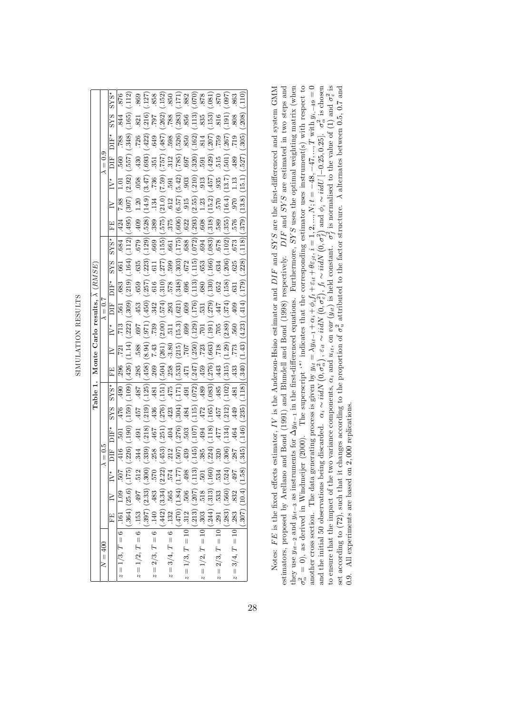| ţ                                                   |
|-----------------------------------------------------|
| 1                                                   |
|                                                     |
| ֧֦֦֧ׅ֚֚֚֚֚֚֚֚֚֚֚֚֚֚֚֚֚֚֚֚֓֡֡֡֡֡֡֡֡֡֡֬֝֓֡֞֡֓֡֡֡֡֡֡֡֡ |
|                                                     |
|                                                     |
| ن<br>ב                                              |
| م                                                   |
|                                                     |
|                                                     |
|                                                     |
|                                                     |
| ì                                                   |
| ŕ                                                   |
|                                                     |
|                                                     |
|                                                     |
|                                                     |
|                                                     |
|                                                     |
|                                                     |
|                                                     |
|                                                     |

|                                                                                                                                                                                                                                                                                                                                                                                                                                                   |         |                                                                                                                                                                                                                                                                                                                                                                        |                     |         |        |            |                                  |        |                                                                            | Table 1. Monte Carlo results, $\lambda$ (RMSE)                |                                                                      |                                                                                                                      |                                              |                                                           |                                                                      |                                                                  |                    |                 |            |                     |                                                              |
|---------------------------------------------------------------------------------------------------------------------------------------------------------------------------------------------------------------------------------------------------------------------------------------------------------------------------------------------------------------------------------------------------------------------------------------------------|---------|------------------------------------------------------------------------------------------------------------------------------------------------------------------------------------------------------------------------------------------------------------------------------------------------------------------------------------------------------------------------|---------------------|---------|--------|------------|----------------------------------|--------|----------------------------------------------------------------------------|---------------------------------------------------------------|----------------------------------------------------------------------|----------------------------------------------------------------------------------------------------------------------|----------------------------------------------|-----------------------------------------------------------|----------------------------------------------------------------------|------------------------------------------------------------------|--------------------|-----------------|------------|---------------------|--------------------------------------------------------------|
| $N = 400$                                                                                                                                                                                                                                                                                                                                                                                                                                         |         |                                                                                                                                                                                                                                                                                                                                                                        |                     | $= 0.5$ |        |            |                                  |        |                                                                            | ≺                                                             | $= 0.7$                                                              |                                                                                                                      |                                              |                                                           |                                                                      |                                                                  |                    | $\lambda = 0.9$ |            |                     |                                                              |
|                                                                                                                                                                                                                                                                                                                                                                                                                                                   |         | $\mathbf{FE}$ IV IV*                                                                                                                                                                                                                                                                                                                                                   |                     |         |        | <b>SYS</b> | $SYS^*$                          | EE     | $\geq$                                                                     | IV*                                                           | ΠH                                                                   | DIF*                                                                                                                 | SY <sub>S</sub>                              | $SSYS*$                                                   | EE                                                                   | $\geq$                                                           | IY                 |                 | ÞIF*       | <b>SYS</b>          | $SYS*$                                                       |
| $z = 1/3, T = 6$ . 161                                                                                                                                                                                                                                                                                                                                                                                                                            |         | $1.\overline{09}$                                                                                                                                                                                                                                                                                                                                                      | $\frac{205}{\cdot}$ | .416    |        | 476        | 490                              | 296    | <b>721</b>                                                                 | .713                                                          | 561                                                                  | 683                                                                                                                  | .661                                         | .684                                                      | 424                                                                  | 7.88                                                             | -<br>10            | 560             | 788        |                     |                                                              |
|                                                                                                                                                                                                                                                                                                                                                                                                                                                   | (0.364) | (25.6)                                                                                                                                                                                                                                                                                                                                                                 | (175)               | 226)    | (190)  | (159)      | (001)                            | (.426) | (1.14)                                                                     | (.222)                                                        | (.309)                                                               | (.219)                                                                                                               | (164)                                        | (112)                                                     | (495)                                                                | (307)                                                            | (2.92)             | (557)           | (.348)     | .165                | $\frac{112}{2}$                                              |
|                                                                                                                                                                                                                                                                                                                                                                                                                                                   |         |                                                                                                                                                                                                                                                                                                                                                                        |                     | 344     | 491    | 457        | $187$                            | .285   | 588                                                                        | 769.                                                          | .453                                                                 | 659                                                                                                                  | 635                                          | 679                                                       | .409                                                                 | 1.20                                                             | .058               | .430            | 726        | 821                 | .869                                                         |
| $z = 1/2$ , $T = 6$ [.153 4]<br>$z = 2/3$ , $T = 6$ [.140 4]<br>$z = 2/3$ , $T = 6$ [.140 3]<br>$z = 3/4$ , $T = 6$ [.122 5]<br>$z = 3/4$ , $T = 6$ [.122 5]<br>$z = 1/3$ , $T = 10$ [.312 3]<br>$z = 1/2$ , $T = 10$ [.3133] (2.133)                                                                                                                                                                                                             |         | $\begin{array}{r} (153 \quad 497 \quad 512 \\ (397) \quad (2.33) \quad (300) \\ (144) \quad (334) \quad (2.22) \\ (142) \quad (3.34) \quad (2.22) \\ (122 \quad 574 \quad 512 \quad 565 \quad 574 \\ (1.77) \quad (1.84) \quad (1.77) \\ (1.81) \quad (1.90) \quad (1.13) \\ (1.13) \quad (2.07) \quad (1.13) \\ (1.14) \quad (1.15) \quad (1.16) \\ (1.17) \quad (1.$ |                     | (.339)  | (218)  | (.219)     | (125)                            | (.458) | (8.94)                                                                     | (.971)                                                        | (.450)                                                               | $(\mbox{}^257)$                                                                                                      | $\binom{223}{617}$                           | (.129)                                                    | .528)                                                                | (14.9)                                                           | (3.47)             | (.693)          | (.422)     | (216)               | $\frac{127}{858}$                                            |
|                                                                                                                                                                                                                                                                                                                                                                                                                                                   |         |                                                                                                                                                                                                                                                                                                                                                                        |                     | 258     | .467   | 436        | .481                             | .269   | 7.43                                                                       | .739                                                          | .342                                                                 | .616                                                                                                                 |                                              | .669                                                      | .389                                                                 | .134                                                             | .736               | .351            | .649       | L61.                |                                                              |
|                                                                                                                                                                                                                                                                                                                                                                                                                                                   |         |                                                                                                                                                                                                                                                                                                                                                                        |                     |         |        | (.276)     | (151)                            | (.504) | $\begin{array}{c} (261) \\ -3.80 \\ (215) \\ 707 \\ (-250) \\ \end{array}$ | $\begin{array}{c} (2.00) \\ 511 \\ (15.3) \\ 699 \end{array}$ | $(.574)$<br>$.293$<br>$.603$<br>$.609$<br>$.176$<br>$.531$<br>$.531$ | $\begin{array}{c} (310) \\[-4pt] 578 \\[-4pt] 578 \\[-4pt] 696 \\[-4pt] 696 \\[-4pt] 113 \\[-4pt] 0.012 \end{array}$ |                                              | (.155)                                                    | $(.575)$<br>$.375$<br>$.606$<br>$.622$<br>$.608$<br>$.608$<br>$.608$ | (21.0)                                                           | (7.59)             | (757)           | (.487)     | (.262)              | $\frac{152}{850}$                                            |
|                                                                                                                                                                                                                                                                                                                                                                                                                                                   |         |                                                                                                                                                                                                                                                                                                                                                                        |                     |         |        | .423       |                                  | .258   |                                                                            |                                                               |                                                                      |                                                                                                                      |                                              |                                                           |                                                                      |                                                                  | 591                | .312            | 598.       | $88$ .              |                                                              |
|                                                                                                                                                                                                                                                                                                                                                                                                                                                   |         |                                                                                                                                                                                                                                                                                                                                                                        |                     |         | (276)  | (.304)     | (175)                            | (.533) |                                                                            |                                                               |                                                                      |                                                                                                                      | $599$<br>$(303)$<br>$672$<br>$(15)$<br>$653$ | $(175)$<br>$(178)$                                        |                                                                      | $\begin{array}{c} .612 \\ .657 \\ .915 \\ .23 \\ .1 \end{array}$ | $(5.42)$<br>$.903$ | (0.687)         | (.526)     | (.283)              |                                                              |
|                                                                                                                                                                                                                                                                                                                                                                                                                                                   |         |                                                                                                                                                                                                                                                                                                                                                                        |                     |         |        | 484        | .491                             | $471$  |                                                                            |                                                               |                                                                      |                                                                                                                      |                                              |                                                           |                                                                      |                                                                  |                    |                 | 850        |                     |                                                              |
|                                                                                                                                                                                                                                                                                                                                                                                                                                                   |         |                                                                                                                                                                                                                                                                                                                                                                        |                     |         |        | (115)      | (.072)                           | (.247) |                                                                            | $(129)$<br>$(701)$                                            |                                                                      |                                                                                                                      |                                              | $\begin{array}{c} \left( .072\right) \\ -694 \end{array}$ |                                                                      |                                                                  | (.210)             | (.320)          | (.162)     | $\frac{856}{(113)}$ |                                                              |
|                                                                                                                                                                                                                                                                                                                                                                                                                                                   |         |                                                                                                                                                                                                                                                                                                                                                                        |                     |         |        | 472        | .489                             | .459   |                                                                            |                                                               |                                                                      |                                                                                                                      |                                              |                                                           |                                                                      |                                                                  | .913               | .591            | .814       | 835                 |                                                              |
|                                                                                                                                                                                                                                                                                                                                                                                                                                                   |         |                                                                                                                                                                                                                                                                                                                                                                        |                     |         |        | (.165)     | (.083)                           | (.276) | (.663)                                                                     | (.191)                                                        |                                                                      | (130)                                                                                                                | $(0.166)$<br>$.634$                          | (.083)                                                    |                                                                      | (15.2)                                                           | $(.457)$<br>$.935$ | (429)           | (.207)     | (153)               | $(171)$<br>$(382)$<br>$(360)$<br>$(382)$<br>$(51)$<br>$(51)$ |
|                                                                                                                                                                                                                                                                                                                                                                                                                                                   |         |                                                                                                                                                                                                                                                                                                                                                                        |                     |         |        | .457       | .485                             | .443   | .718                                                                       |                                                               | -447                                                                 |                                                                                                                      |                                              | $\frac{678}{(102)}$                                       | .589                                                                 |                                                                  |                    | 515             | <b>C22</b> | 816                 |                                                              |
|                                                                                                                                                                                                                                                                                                                                                                                                                                                   |         |                                                                                                                                                                                                                                                                                                                                                                        |                     |         |        | (.212)     | (.102)                           | (.315) | (1.29)                                                                     | (2.89)                                                        | (.374)                                                               | $\begin{array}{c} 652 \\ -158 \\ 631 \end{array}$                                                                    | $(206)$<br>$625$                             |                                                           | (.355)                                                               | (16.4)                                                           | (13.7)             | (.501)          | (.267)     | $.191^{\circ}$      | .097                                                         |
|                                                                                                                                                                                                                                                                                                                                                                                                                                                   |         |                                                                                                                                                                                                                                                                                                                                                                        |                     |         |        | .449       | $\textcolor{red}{\textbf{-481}}$ | .433   | .773                                                                       | .560                                                          | .409                                                                 |                                                                                                                      |                                              | .673                                                      | 576                                                                  | 0.6                                                              | 1.13               | .489            | 719        | 808                 | 863                                                          |
| $\begin{array}{rcl} \left(42\right)\left(3.34\right)\left(2. z_{\sigma}\right)\,,\\ \left(49\right)\left(1.86\right)\left(1.77\right)\left(507\right)\,\left(276\right)\\ \left(470\right)\left(1.84\right)\left(1.77\right)\left(507\right)\left(276\right)\\ \left(213\right)\,\left(206\quad498\quad439\quad5\\ \left(213\right)\left(207\right)\left(1.13\right)\left(145\right)\\ \left(244\right)\left(313\right)\left(501\quad7\\ \left(2$ |         |                                                                                                                                                                                                                                                                                                                                                                        |                     |         | (.146) | (.235)     | (.118)                           | (.340) | (1.43)                                                                     | (4.23)                                                        | (.414)                                                               | (179)                                                                                                                | (0.228)                                      | (118)                                                     | (.379)                                                               | (13.8)                                                           | (15.1)             | (.527)          | (.305)     | (.208)              | $\left( \frac{110}{2} \right)$                               |

estimators, proposed by Arellano and Bond (1991) and Blundell and Bond (1998) respectively.  $DIF$  and  $SYS$  are estimated in two steps and they use  $y_{it-2}$  and  $y_{it-3}$  as instruments for  $\Delta y_{it-1}$  in the first-differenced equations. Furthermore, SYS uses the optimal weighting matrix (when  $\sigma_{\alpha}^2 = 0$ ), as derived in Windmeijer (2000). The superscript " indicates that the corresponding estimator uses instrument(s) with respect to another cross section. The data generating process is given by  $y_{it} = \lambda y_{it-1} + \alpha_i + \phi_i f_t + \varepsilon_{it} + \theta \varepsilon_{jt}, i = 1, 2, ..., N; t = -48, -47, ..., T$  with  $y_{i,-49} = 0$ <br>and the initial 50 observations being discarded.  $\alpha_i \sim \textit{iidN}(0, \sigma_a^2)$ , another cross section. The data generating process is given by  $y_{it} = \lambda y_{it-1} + \alpha_i + \phi_i f_t + \varepsilon_{it} + \theta \varepsilon_{jt}, i = 1, 2, ..., N$ ;  $t = -48, -47, ..., T$  with  $y_{i,-49} = 0$ <br>i. Notes:  $FE$  is the fixed effects estimator, IV is the Anderson-Hsiao estimator and  $DIF$  and  $SYS$  are the first-differenced and system GMM set according to (72), such that it changes according to the proportion of  $\sigma_u^2$  attributed to the factor structure. A alternates between 0.5, 0.7 and Notes: FE is the fixed effects estimator, IV is the Anderson-Hsiao estimator and DIF and SYS are the first-differenced and system GMM estimators, proposed by Arellano and Bond (1991) and Blundell and Bond (1998) respectively. DIF and SY S are estimated in two steps and they use  $y_{it-2}$  and  $y_{it-3}$  as instruments for  $\Delta y_{it-1}$  in the first-differenced equations. Furthermore, SYS uses the optimal weighting matrix (when  $\sigma_{\alpha}^2 = 0$ ), as derived in Windmeijer (2000). The superscript  $\alpha$  indicates that the corresponding estimator uses instrument(s) with respect to and the initial 50 observations being discarded.  $\alpha_i \sim \textit{iidN}$  (0,  $\sigma_{\alpha}^2$ ),  $f_t \sim \textit{iidN}$  (0,  $\sigma_f^2$ ) and  $\phi_i \sim \textit{iidU}$  [-0.25, 0.25].  $\sigma_{\alpha}^2$  is chosen to ensure that the impact of the two variance components,  $\alpha_i$  and  $u_{it}$ , on  $v_{ar}(y_{it})$  is held constant.  $\sigma_f^2$  is normalised to the value of (1) and  $\sigma_e^2$  is set according to (72), such that it changes according to the proportion of  $\sigma_u^2$  attributed to the factor structure. A alternates between 0.5, 0.7 and 0.9. All experiments are based on 2,000 replications. 0:9. All experiments are based on 2; 000 replications.